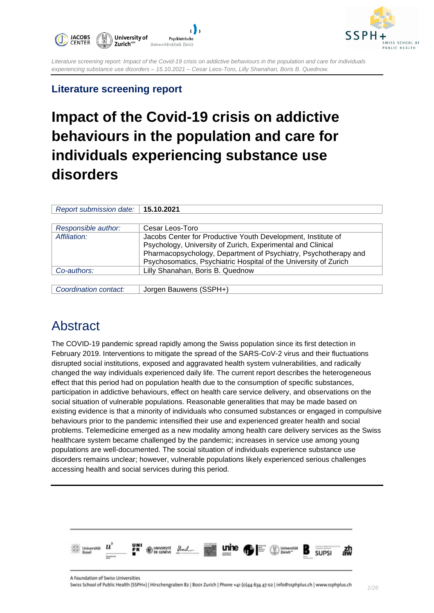



### **Literature screening report**

# **Impact of the Covid-19 crisis on addictive behaviours in the population and care for individuals experiencing substance use disorders**

| Report submission date:   15.10.2021 |                                                                  |  |
|--------------------------------------|------------------------------------------------------------------|--|
|                                      |                                                                  |  |
| Responsible author:                  | Cesar Leos-Toro                                                  |  |
| Affiliation:                         | Jacobs Center for Productive Youth Development, Institute of     |  |
|                                      | Psychology, University of Zurich, Experimental and Clinical      |  |
|                                      | Pharmacopsychology, Department of Psychiatry, Psychotherapy and  |  |
|                                      | Psychosomatics, Psychiatric Hospital of the University of Zurich |  |
| Co-authors:                          | Lilly Shanahan, Boris B. Quednow                                 |  |
|                                      |                                                                  |  |
|                                      |                                                                  |  |

*Coordination contact:* Jorgen Bauwens (SSPH+)

## Abstract

The COVID-19 pandemic spread rapidly among the Swiss population since its first detection in February 2019. Interventions to mitigate the spread of the SARS-CoV-2 virus and their fluctuations disrupted social institutions, exposed and aggravated health system vulnerabilities, and radically changed the way individuals experienced daily life. The current report describes the heterogeneous effect that this period had on population health due to the consumption of specific substances, participation in addictive behaviours, effect on health care service delivery, and observations on the social situation of vulnerable populations. Reasonable generalities that may be made based on existing evidence is that a minority of individuals who consumed substances or engaged in compulsive behaviours prior to the pandemic intensified their use and experienced greater health and social problems. Telemedicine emerged as a new modality among health care delivery services as the Swiss healthcare system became challenged by the pandemic; increases in service use among young populations are well-documented. The social situation of individuals experience substance use disorders remains unclear; however, vulnerable populations likely experienced serious challenges accessing health and social services during this period.

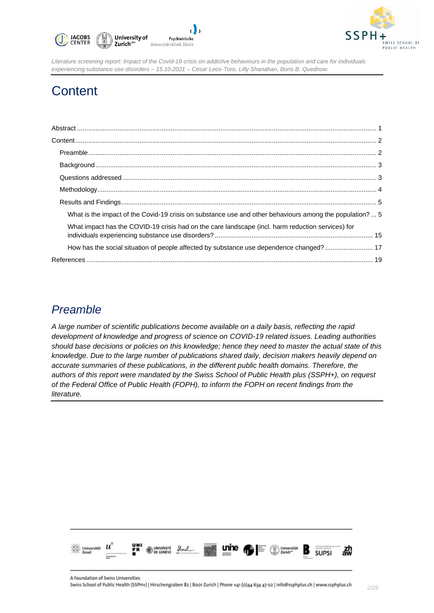



# **Content**

| What is the impact of the Covid-19 crisis on substance use and other behaviours among the population?  5 |  |
|----------------------------------------------------------------------------------------------------------|--|
| What impact has the COVID-19 crisis had on the care landscape (incl. harm reduction services) for        |  |
| How has the social situation of people affected by substance use dependence changed?  17                 |  |
|                                                                                                          |  |

### *Preamble*

*A large number of scientific publications become available on a daily basis, reflecting the rapid development of knowledge and progress of science on COVID-19 related issues. Leading authorities should base decisions or policies on this knowledge; hence they need to master the actual state of this knowledge. Due to the large number of publications shared daily, decision makers heavily depend on accurate summaries of these publications, in the different public health domains. Therefore, the authors of this report were mandated by the Swiss School of Public Health plus (SSPH+), on request of the Federal Office of Public Health (FOPH), to inform the FOPH on recent findings from the literature.*

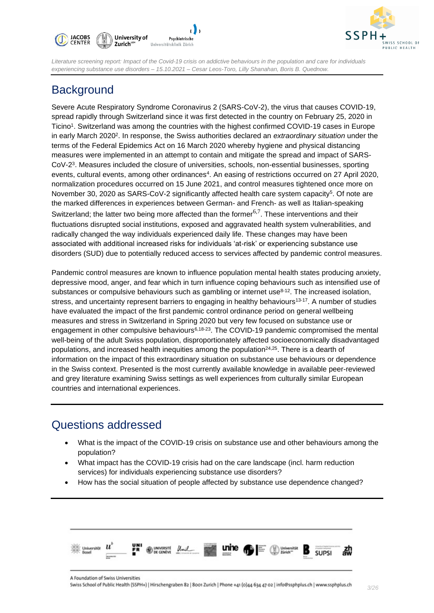



### **Background**

Severe Acute Respiratory Syndrome Coronavirus 2 (SARS-CoV-2), the virus that causes COVID-19, spread rapidly through Switzerland since it was first detected in the country on February 25, 2020 in Ticino<sup>1</sup>. Switzerland was among the countries with the highest confirmed COVID-19 cases in Europe in early March 2020<sup>2</sup>. In response, the Swiss authorities declared an *extraordinary situation* under the terms of the Federal Epidemics Act on 16 March 2020 whereby hygiene and physical distancing measures were implemented in an attempt to contain and mitigate the spread and impact of SARS-CoV-2<sup>3</sup>. Measures included the closure of universities, schools, non-essential businesses, sporting events, cultural events, among other ordinances<sup>4</sup>. An easing of restrictions occurred on 27 April 2020, normalization procedures occurred on 15 June 2021, and control measures tightened once more on November 30, 2020 as SARS-CoV-2 significantly affected health care system capacity<sup>5</sup>. Of note are the marked differences in experiences between German- and French- as well as Italian-speaking Switzerland; the latter two being more affected than the former<sup>6,7</sup>. These interventions and their fluctuations disrupted social institutions, exposed and aggravated health system vulnerabilities, and radically changed the way individuals experienced daily life. These changes may have been associated with additional increased risks for individuals 'at-risk' or experiencing substance use disorders (SUD) due to potentially reduced access to services affected by pandemic control measures.

Pandemic control measures are known to influence population mental health states producing anxiety, depressive mood, anger, and fear which in turn influence coping behaviours such as intensified use of substances or compulsive behaviours such as gambling or internet use<sup>8-12</sup>. The increased isolation, stress, and uncertainty represent barriers to engaging in healthy behaviours<sup>13-17</sup>. A number of studies have evaluated the impact of the first pandemic control ordinance period on general wellbeing measures and stress in Switzerland in Spring 2020 but very few focused on substance use or engagement in other compulsive behaviours<sup>6,18-23</sup>. The COVID-19 pandemic compromised the mental well-being of the adult Swiss population, disproportionately affected socioeconomically disadvantaged populations, and increased health inequities among the population<sup>24,25</sup>. There is a dearth of information on the impact of this extraordinary situation on substance use behaviours or dependence in the Swiss context. Presented is the most currently available knowledge in available peer-reviewed and grey literature examining Swiss settings as well experiences from culturally similar European countries and international experiences.

### Questions addressed

- What is the impact of the COVID-19 crisis on substance use and other behaviours among the population?
- What impact has the COVID-19 crisis had on the care landscape (incl. harm reduction services) for individuals experiencing substance use disorders?
- How has the social situation of people affected by substance use dependence changed?

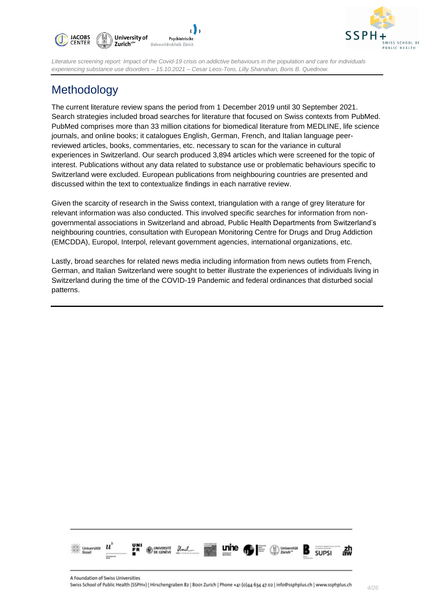



### Methodology

The current literature review spans the period from 1 December 2019 until 30 September 2021. Search strategies included broad searches for literature that focused on Swiss contexts from PubMed. PubMed comprises more than 33 million citations for biomedical literature from MEDLINE, life science journals, and online books; it catalogues English, German, French, and Italian language peerreviewed articles, books, commentaries, etc. necessary to scan for the variance in cultural experiences in Switzerland. Our search produced 3,894 articles which were screened for the topic of interest. Publications without any data related to substance use or problematic behaviours specific to Switzerland were excluded. European publications from neighbouring countries are presented and discussed within the text to contextualize findings in each narrative review.

Given the scarcity of research in the Swiss context, triangulation with a range of grey literature for relevant information was also conducted. This involved specific searches for information from nongovernmental associations in Switzerland and abroad, Public Health Departments from Switzerland's neighbouring countries, consultation with European Monitoring Centre for Drugs and Drug Addiction (EMCDDA), Europol, Interpol, relevant government agencies, international organizations, etc.

Lastly, broad searches for related news media including information from news outlets from French, German, and Italian Switzerland were sought to better illustrate the experiences of individuals living in Switzerland during the time of the COVID-19 Pandemic and federal ordinances that disturbed social patterns.

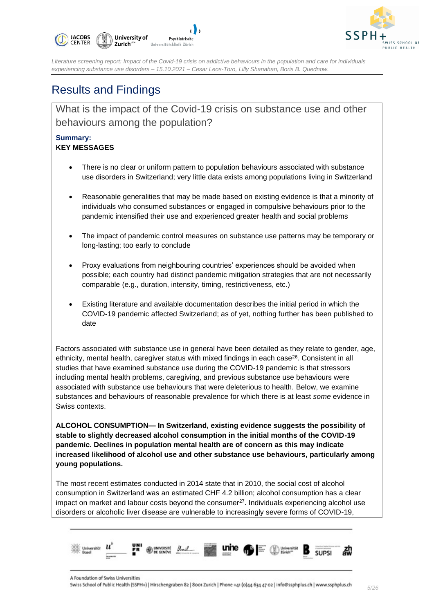



### Results and Findings

What is the impact of the Covid-19 crisis on substance use and other behaviours among the population?

#### **Summary: KEY MESSAGES**

- There is no clear or uniform pattern to population behaviours associated with substance use disorders in Switzerland; very little data exists among populations living in Switzerland
- Reasonable generalities that may be made based on existing evidence is that a minority of individuals who consumed substances or engaged in compulsive behaviours prior to the pandemic intensified their use and experienced greater health and social problems
- The impact of pandemic control measures on substance use patterns may be temporary or long-lasting; too early to conclude
- Proxy evaluations from neighbouring countries' experiences should be avoided when possible; each country had distinct pandemic mitigation strategies that are not necessarily comparable (e.g., duration, intensity, timing, restrictiveness, etc.)
- Existing literature and available documentation describes the initial period in which the COVID-19 pandemic affected Switzerland; as of yet, nothing further has been published to date

Factors associated with substance use in general have been detailed as they relate to gender, age, ethnicity, mental health, caregiver status with mixed findings in each case<sup>26</sup>. Consistent in all studies that have examined substance use during the COVID-19 pandemic is that stressors including mental health problems, caregiving, and previous substance use behaviours were associated with substance use behaviours that were deleterious to health. Below, we examine substances and behaviours of reasonable prevalence for which there is at least *some* evidence in Swiss contexts.

**ALCOHOL CONSUMPTION— In Switzerland, existing evidence suggests the possibility of stable to slightly decreased alcohol consumption in the initial months of the COVID-19 pandemic. Declines in population mental health are of concern as this may indicate increased likelihood of alcohol use and other substance use behaviours, particularly among young populations.**

The most recent estimates conducted in 2014 state that in 2010, the social cost of alcohol consumption in Switzerland was an estimated CHF 4.2 billion; alcohol consumption has a clear impact on market and labour costs beyond the consumer<sup>27</sup>. Individuals experiencing alcohol use disorders or alcoholic liver disease are vulnerable to increasingly severe forms of COVID-19,

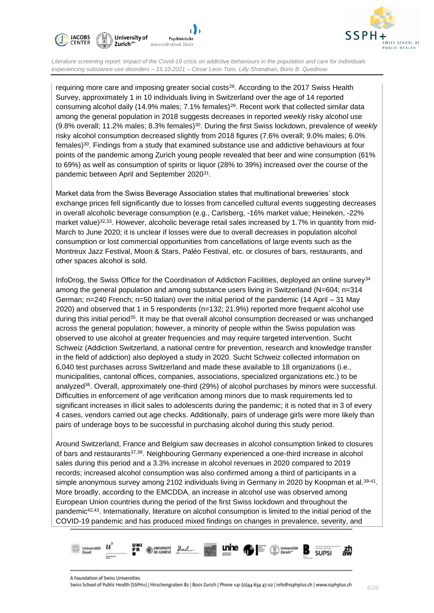



requiring more care and imposing greater social costs<sup>28</sup>. According to the 2017 Swiss Health Survey, approximately 1 in 10 individuals living in Switzerland over the age of 14 reported consuming alcohol daily (14.9% males; 7.1% females)<sup>29</sup>. Recent work that collected similar data among the general population in 2018 suggests decreases in reported *weekly* risky alcohol use (9.8% overall; 11.2% males; 8.3% females)<sup>30</sup>. During the first Swiss lockdown, prevalence of *weekly* risky alcohol consumption decreased slightly from 2018 figures (7.6% overall; 9.0% males; 6.0% females)<sup>30</sup> . Findings from a study that examined substance use and addictive behaviours at four points of the pandemic among Zurich young people revealed that beer and wine consumption (61% to 69%) as well as consumption of spirits or liquor (28% to 39%) increased over the course of the pandemic between April and September 2020<sup>31</sup>.

Market data from the Swiss Beverage Association states that multinational breweries' stock exchange prices fell significantly due to losses from cancelled cultural events suggesting decreases in overall alcoholic beverage consumption (e.g., Carlsberg, -16% market value; Heineken, -22% market value)<sup>32,33</sup>. However, alcoholic beverage retail sales increased by 1.7% in quantity from mid-March to June 2020; it is unclear if losses were due to overall decreases in population alcohol consumption or lost commercial opportunities from cancellations of large events such as the Montreux Jazz Festival, Moon & Stars, Paléo Festival, etc. or closures of bars, restaurants, and other spaces alcohol is sold.

InfoDrog, the Swiss Office for the Coordination of Addiction Facilities, deployed an online survey<sup>34</sup> among the general population and among substance users living in Switzerland (N=604; n=314 German; n=240 French; n=50 Italian) over the initial period of the pandemic (14 April – 31 May 2020) and observed that 1 in 5 respondents (n=132; 21.9%) reported more frequent alcohol use during this initial period<sup>35</sup>. It may be that overall alcohol consumption decreased or was unchanged across the general population; however, a minority of people within the Swiss population was observed to use alcohol at greater frequencies and may require targeted intervention. Sucht Schweiz (Addiction Switzerland, a national centre for prevention, research and knowledge transfer in the field of addiction) also deployed a study in 2020. Sucht Schweiz collected information on 6,040 test purchases across Switzerland and made these available to 18 organizations (i.e., municipalities, cantonal offices, companies, associations, specialized organizations etc.) to be analyzed<sup>36</sup>. Overall, approximately one-third (29%) of alcohol purchases by minors were successful. Difficulties in enforcement of age verification among minors due to mask requirements led to significant increases in illicit sales to adolescents during the pandemic; it is noted that in 3 of every 4 cases, vendors carried out age checks. Additionally, pairs of underage girls were more likely than pairs of underage boys to be successful in purchasing alcohol during this study period.

Around Switzerland, France and Belgium saw decreases in alcohol consumption linked to closures of bars and restaurants37,38. Neighbouring Germany experienced a one-third increase in alcohol sales during this period and a 3.3% increase in alcohol revenues in 2020 compared to 2019 records; increased alcohol consumption was also confirmed among a third of participants in a simple anonymous survey among 2102 individuals living in Germany in 2020 by Koopman et al.<sup>39-41</sup>. More broadly, according to the EMCDDA, an increase in alcohol use was observed among European Union countries during the period of the first Swiss lockdown and throughout the pandemic<sup>42,43</sup>. Internationally, literature on alcohol consumption is limited to the initial period of the COVID-19 pandemic and has produced mixed findings on changes in prevalence, severity, and

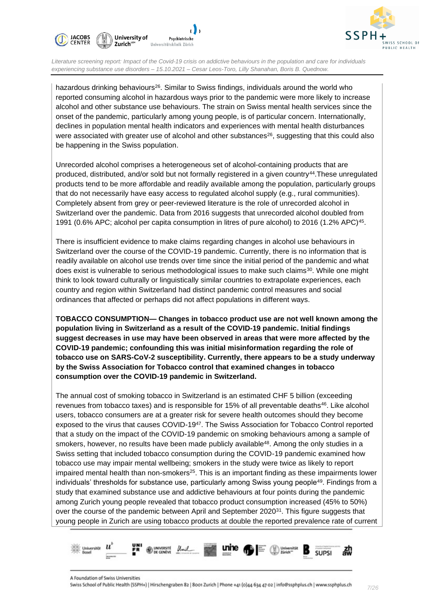



hazardous drinking behaviours<sup>26</sup>. Similar to Swiss findings, individuals around the world who reported consuming alcohol in hazardous ways prior to the pandemic were more likely to increase alcohol and other substance use behaviours. The strain on Swiss mental health services since the onset of the pandemic, particularly among young people, is of particular concern. Internationally, declines in population mental health indicators and experiences with mental health disturbances were associated with greater use of alcohol and other substances $26$ , suggesting that this could also be happening in the Swiss population.

Unrecorded alcohol comprises a heterogeneous set of alcohol-containing products that are produced, distributed, and/or sold but not formally registered in a given country<sup>44</sup>.These unregulated products tend to be more affordable and readily available among the population, particularly groups that do not necessarily have easy access to regulated alcohol supply (e.g., rural communities). Completely absent from grey or peer-reviewed literature is the role of unrecorded alcohol in Switzerland over the pandemic. Data from 2016 suggests that unrecorded alcohol doubled from 1991 (0.6% APC; alcohol per capita consumption in litres of pure alcohol) to 2016 (1.2% APC)<sup>45</sup>.

There is insufficient evidence to make claims regarding changes in alcohol use behaviours in Switzerland over the course of the COVID-19 pandemic. Currently, there is no information that is readily available on alcohol use trends over time since the initial period of the pandemic and what does exist is vulnerable to serious methodological issues to make such claims<sup>30</sup>. While one might think to look toward culturally or linguistically similar countries to extrapolate experiences, each country and region within Switzerland had distinct pandemic control measures and social ordinances that affected or perhaps did not affect populations in different ways.

**TOBACCO CONSUMPTION— Changes in tobacco product use are not well known among the population living in Switzerland as a result of the COVID-19 pandemic. Initial findings suggest decreases in use may have been observed in areas that were more affected by the COVID-19 pandemic; confounding this was initial misinformation regarding the role of tobacco use on SARS-CoV-2 susceptibility. Currently, there appears to be a study underway by the Swiss Association for Tobacco control that examined changes in tobacco consumption over the COVID-19 pandemic in Switzerland.** 

The annual cost of smoking tobacco in Switzerland is an estimated CHF 5 billion (exceeding revenues from tobacco taxes) and is responsible for 15% of all preventable deaths<sup>46</sup>. Like alcohol users, tobacco consumers are at a greater risk for severe health outcomes should they become exposed to the virus that causes COVID-19<sup>47</sup>. The Swiss Association for Tobacco Control reported that a study on the impact of the COVID-19 pandemic on smoking behaviours among a sample of smokers, however, no results have been made publicly available<sup>48</sup>. Among the only studies in a Swiss setting that included tobacco consumption during the COVID-19 pandemic examined how tobacco use may impair mental wellbeing; smokers in the study were twice as likely to report impaired mental health than non-smokers<sup>25</sup>. This is an important finding as these impairments lower individuals' thresholds for substance use, particularly among Swiss young people<sup>49</sup>. Findings from a study that examined substance use and addictive behaviours at four points during the pandemic among Zurich young people revealed that tobacco product consumption increased (45% to 50%) over the course of the pandemic between April and September 2020<sup>31</sup>. This figure suggests that young people in Zurich are using tobacco products at double the reported prevalence rate of current

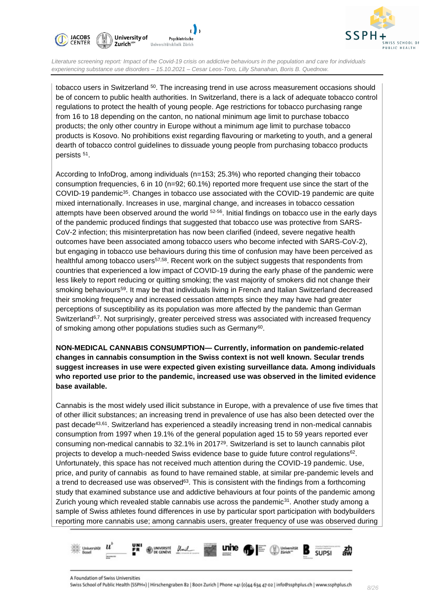



tobacco users in Switzerland <sup>50</sup>. The increasing trend in use across measurement occasions should be of concern to public health authorities. In Switzerland, there is a lack of adequate tobacco control regulations to protect the health of young people. Age restrictions for tobacco purchasing range from 16 to 18 depending on the canton, no national minimum age limit to purchase tobacco products; the only other country in Europe without a minimum age limit to purchase tobacco products is Kosovo. No prohibitions exist regarding flavouring or marketing to youth, and a general dearth of tobacco control guidelines to dissuade young people from purchasing tobacco products persists <sup>51</sup>.

According to InfoDrog, among individuals (n=153; 25.3%) who reported changing their tobacco consumption frequencies, 6 in 10 (n=92; 60.1%) reported more frequent use since the start of the COVID-19 pandemic<sup>35</sup>. Changes in tobacco use associated with the COVID-19 pandemic are quite mixed internationally. Increases in use, marginal change, and increases in tobacco cessation attempts have been observed around the world <sup>52-56</sup>. Initial findings on tobacco use in the early days of the pandemic produced findings that suggested that tobacco use was protective from SARS-CoV-2 infection; this misinterpretation has now been clarified (indeed, severe negative health outcomes have been associated among tobacco users who become infected with SARS-CoV-2), but engaging in tobacco use behaviours during this time of confusion may have been perceived as healthful among tobacco users<sup>57,58</sup>. Recent work on the subject suggests that respondents from countries that experienced a low impact of COVID-19 during the early phase of the pandemic were less likely to report reducing or quitting smoking; the vast majority of smokers did not change their smoking behaviours<sup>59</sup>. It may be that individuals living in French and Italian Switzerland decreased their smoking frequency and increased cessation attempts since they may have had greater perceptions of susceptibility as its population was more affected by the pandemic than German Switzerland<sup>6,7</sup>. Not surprisingly, greater perceived stress was associated with increased frequency of smoking among other populations studies such as Germany<sup>60</sup>.

**NON-MEDICAL CANNABIS CONSUMPTION— Currently, information on pandemic-related changes in cannabis consumption in the Swiss context is not well known. Secular trends suggest increases in use were expected given existing surveillance data. Among individuals who reported use prior to the pandemic, increased use was observed in the limited evidence base available.**

Cannabis is the most widely used illicit substance in Europe, with a prevalence of use five times that of other illicit substances; an increasing trend in prevalence of use has also been detected over the past decade<sup>43,61</sup>. Switzerland has experienced a steadily increasing trend in non-medical cannabis consumption from 1997 when 19.1% of the general population aged 15 to 59 years reported ever consuming non-medical cannabis to 32.1% in 2017<sup>29</sup>. Switzerland is set to launch cannabis pilot projects to develop a much-needed Swiss evidence base to guide future control regulations<sup>62</sup>. Unfortunately, this space has not received much attention during the COVID-19 pandemic. Use, price, and purity of cannabis as found to have remained stable, at similar pre-pandemic levels and a trend to decreased use was observed $63$ . This is consistent with the findings from a forthcoming study that examined substance use and addictive behaviours at four points of the pandemic among Zurich young which revealed stable cannabis use across the pandemic $31$ . Another study among a sample of Swiss athletes found differences in use by particular sport participation with bodybuilders reporting more cannabis use; among cannabis users, greater frequency of use was observed during

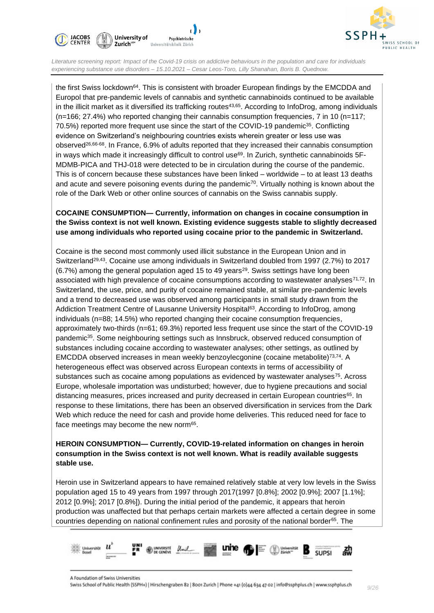



the first Swiss lockdown<sup>64</sup>. This is consistent with broader European findings by the EMCDDA and Europol that pre-pandemic levels of cannabis and synthetic cannabinoids continued to be available in the illicit market as it diversified its trafficking routes<sup>43,65</sup>. According to InfoDrog, among individuals (n=166; 27.4%) who reported changing their cannabis consumption frequencies, 7 in 10 (n=117; 70.5%) reported more frequent use since the start of the COVID-19 pandemic<sup>35</sup>. Conflicting evidence on Switzerland's neighbouring countries exists wherein greater or less use was observed26,66-68. In France, 6.9% of adults reported that they increased their cannabis consumption in ways which made it increasingly difficult to control use<sup>69</sup>. In Zurich, synthetic cannabinoids 5F-MDMB-PICA and THJ-018 were detected to be in circulation during the course of the pandemic. This is of concern because these substances have been linked – worldwide – to at least 13 deaths and acute and severe poisoning events during the pandemic $70$ . Virtually nothing is known about the role of the Dark Web or other online sources of cannabis on the Swiss cannabis supply.

#### **COCAINE CONSUMPTION— Currently, information on changes in cocaine consumption in the Swiss context is not well known. Existing evidence suggests stable to slightly decreased use among individuals who reported using cocaine prior to the pandemic in Switzerland.**

Cocaine is the second most commonly used illicit substance in the European Union and in Switzerland<sup>29,43</sup>. Cocaine use among individuals in Switzerland doubled from 1997 (2.7%) to 2017 (6.7%) among the general population aged 15 to 49 years<sup>29</sup>. Swiss settings have long been associated with high prevalence of cocaine consumptions according to wastewater analyses $71.72$ . In Switzerland, the use, price, and purity of cocaine remained stable, at similar pre-pandemic levels and a trend to decreased use was observed among participants in small study drawn from the Addiction Treatment Centre of Lausanne University Hospital<sup>63</sup>. According to InfoDrog, among individuals (n=88; 14.5%) who reported changing their cocaine consumption frequencies, approximately two-thirds (n=61; 69.3%) reported less frequent use since the start of the COVID-19 pandemic<sup>35</sup>. Some neighbouring settings such as Innsbruck, observed reduced consumption of substances including cocaine according to wastewater analyses; other settings, as outlined by EMCDDA observed increases in mean weekly benzoylecgonine (cocaine metabolite)73,74. A heterogeneous effect was observed across European contexts in terms of accessibility of substances such as cocaine among populations as evidenced by wastewater analyses<sup>75</sup>. Across Europe, wholesale importation was undisturbed; however, due to hygiene precautions and social distancing measures, prices increased and purity decreased in certain European countries<sup>65</sup>. In response to these limitations, there has been an observed diversification in services from the Dark Web which reduce the need for cash and provide home deliveries. This reduced need for face to face meetings may become the new norm<sup>65</sup>.

#### **HEROIN CONSUMPTION— Currently, COVID-19-related information on changes in heroin consumption in the Swiss context is not well known. What is readily available suggests stable use.**

Heroin use in Switzerland appears to have remained relatively stable at very low levels in the Swiss population aged 15 to 49 years from 1997 through 2017(1997 [0.8%]; 2002 [0.9%]; 2007 [1.1%]; 2012 [0.9%]; 2017 [0.8%]). During the initial period of the pandemic, it appears that heroin production was unaffected but that perhaps certain markets were affected a certain degree in some countries depending on national confinement rules and porosity of the national border65. The

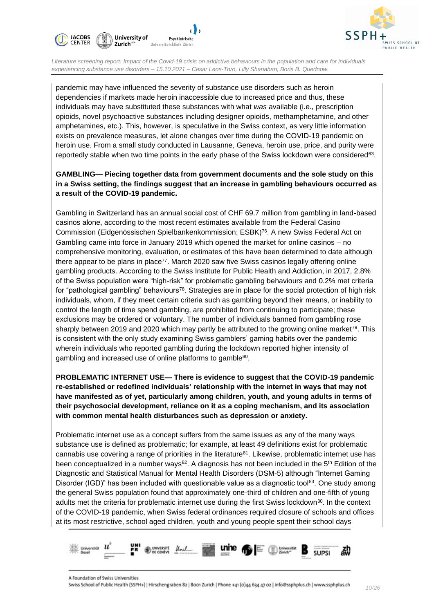



pandemic may have influenced the severity of substance use disorders such as heroin dependencies if markets made heroin inaccessible due to increased price and thus, these individuals may have substituted these substances with what *was* available (i.e., prescription opioids, novel psychoactive substances including designer opioids, methamphetamine, and other amphetamines, etc.). This, however, is speculative in the Swiss context, as very little information exists on prevalence measures, let alone changes over time during the COVID-19 pandemic on heroin use. From a small study conducted in Lausanne, Geneva, heroin use, price, and purity were reportedly stable when two time points in the early phase of the Swiss lockdown were considered<sup>63</sup>.

#### **GAMBLING— Piecing together data from government documents and the sole study on this in a Swiss setting, the findings suggest that an increase in gambling behaviours occurred as a result of the COVID-19 pandemic.**

Gambling in Switzerland has an annual social cost of CHF 69.7 million from gambling in land-based casinos alone, according to the most recent estimates available from the Federal Casino Commission (Eidgenössischen Spielbankenkommission; ESBK) <sup>76</sup>. A new Swiss Federal Act on Gambling came into force in January 2019 which opened the market for online casinos – no comprehensive monitoring, evaluation, or estimates of this have been determined to date although there appear to be plans in place<sup>77</sup>. March 2020 saw five Swiss casinos legally offering online gambling products. According to the Swiss Institute for Public Health and Addiction, in 2017, 2.8% of the Swiss population were "high-risk" for problematic gambling behaviours and 0.2% met criteria for "pathological gambling" behaviours<sup>78</sup>. Strategies are in place for the social protection of high risk individuals, whom, if they meet certain criteria such as gambling beyond their means, or inability to control the length of time spend gambling, are prohibited from continuing to participate; these exclusions may be ordered or voluntary. The number of individuals banned from gambling rose sharply between 2019 and 2020 which may partly be attributed to the growing online market<sup>79</sup>. This is consistent with the only study examining Swiss gamblers' gaming habits over the pandemic wherein individuals who reported gambling during the lockdown reported higher intensity of gambling and increased use of online platforms to gamble<sup>80</sup>.

**PROBLEMATIC INTERNET USE— There is evidence to suggest that the COVID-19 pandemic re-established or redefined individuals' relationship with the internet in ways that may not have manifested as of yet, particularly among children, youth, and young adults in terms of their psychosocial development, reliance on it as a coping mechanism, and its association with common mental health disturbances such as depression or anxiety.** 

Problematic internet use as a concept suffers from the same issues as any of the many ways substance use is defined as problematic; for example, at least 49 definitions exist for problematic cannabis use covering a range of priorities in the literature<sup>81</sup>. Likewise, problematic internet use has been conceptualized in a number ways<sup>82</sup>. A diagnosis has not been included in the  $5<sup>th</sup>$  Edition of the Diagnostic and Statistical Manual for Mental Health Disorders (DSM-5) although "Internet Gaming Disorder (IGD)" has been included with questionable value as a diagnostic tool<sup>83</sup>. One study among the general Swiss population found that approximately one-third of children and one-fifth of young adults met the criteria for problematic internet use during the first Swiss lockdown<sup>30</sup>. In the context of the COVID-19 pandemic, when Swiss federal ordinances required closure of schools and offices at its most restrictive, school aged children, youth and young people spent their school days

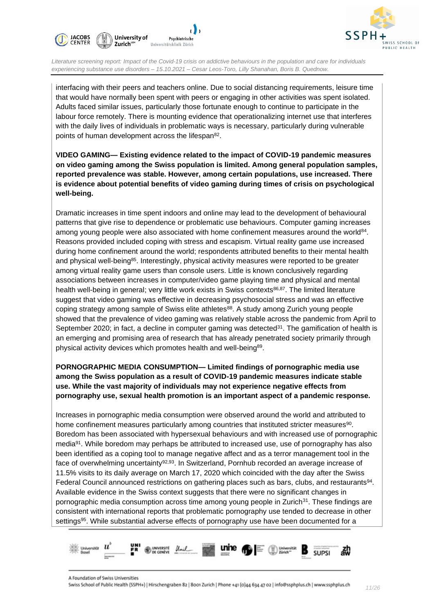



interfacing with their peers and teachers online. Due to social distancing requirements, leisure time that would have normally been spent with peers or engaging in other activities was spent isolated. Adults faced similar issues, particularly those fortunate enough to continue to participate in the labour force remotely. There is mounting evidence that operationalizing internet use that interferes with the daily lives of individuals in problematic ways is necessary, particularly during vulnerable points of human development across the lifespan<sup>82</sup>.

**VIDEO GAMING— Existing evidence related to the impact of COVID-19 pandemic measures on video gaming among the Swiss population is limited. Among general population samples, reported prevalence was stable. However, among certain populations, use increased. There is evidence about potential benefits of video gaming during times of crisis on psychological well-being.**

Dramatic increases in time spent indoors and online may lead to the development of behavioural patterns that give rise to dependence or problematic use behaviours. Computer gaming increases among young people were also associated with home confinement measures around the world<sup>84</sup>. Reasons provided included coping with stress and escapism. Virtual reality game use increased during home confinement around the world; respondents attributed benefits to their mental health and physical well-being<sup>85</sup>. Interestingly, physical activity measures were reported to be greater among virtual reality game users than console users. Little is known conclusively regarding associations between increases in computer/video game playing time and physical and mental health well-being in general; very little work exists in Swiss contexts<sup>86,87</sup>. The limited literature suggest that video gaming was effective in decreasing psychosocial stress and was an effective coping strategy among sample of Swiss elite athletes<sup>88</sup>. A study among Zurich young people showed that the prevalence of video gaming was relatively stable across the pandemic from April to September 2020; in fact, a decline in computer gaming was detected $31$ . The gamification of health is an emerging and promising area of research that has already penetrated society primarily through physical activity devices which promotes health and well-being<sup>89</sup>.

**PORNOGRAPHIC MEDIA CONSUMPTION— Limited findings of pornographic media use among the Swiss population as a result of COVID-19 pandemic measures indicate stable use. While the vast majority of individuals may not experience negative effects from pornography use, sexual health promotion is an important aspect of a pandemic response.**

Increases in pornographic media consumption were observed around the world and attributed to home confinement measures particularly among countries that instituted stricter measures $^{90}$ . Boredom has been associated with hypersexual behaviours and with increased use of pornographic media<sup>91</sup>. While boredom may perhaps be attributed to increased use, use of pornography has also been identified as a coping tool to manage negative affect and as a terror management tool in the face of overwhelming uncertainty<sup>92,93</sup>. In Switzerland, Pornhub recorded an average increase of 11.5% visits to its daily average on March 17, 2020 which coincided with the day after the Swiss Federal Council announced restrictions on gathering places such as bars, clubs, and restaurants<sup>94</sup>. Available evidence in the Swiss context suggests that there were no significant changes in pornographic media consumption across time among young people in Zurich<sup>31</sup>. These findings are consistent with international reports that problematic pornography use tended to decrease in other settings<sup>95</sup>. While substantial adverse effects of pornography use have been documented for a

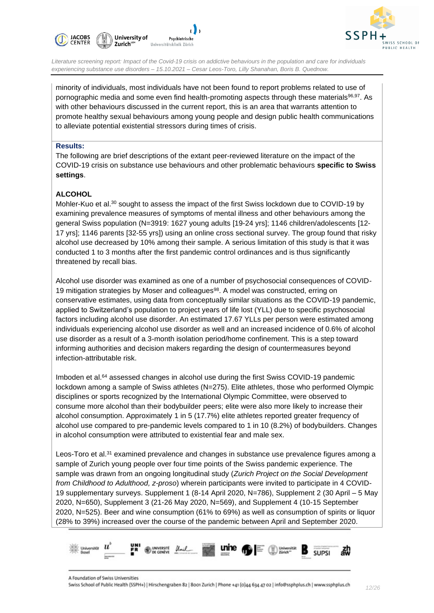



minority of individuals, most individuals have not been found to report problems related to use of pornographic media and some even find health-promoting aspects through these materials<sup>96,97</sup>. As with other behaviours discussed in the current report, this is an area that warrants attention to promote healthy sexual behaviours among young people and design public health communications to alleviate potential existential stressors during times of crisis.

#### **Results:**

The following are brief descriptions of the extant peer-reviewed literature on the impact of the COVID-19 crisis on substance use behaviours and other problematic behaviours **specific to Swiss settings**.

#### **ALCOHOL**

Mohler-Kuo et al.<sup>30</sup> sought to assess the impact of the first Swiss lockdown due to COVID-19 by examining prevalence measures of symptoms of mental illness and other behaviours among the general Swiss population (N=3919: 1627 young adults [19-24 yrs]; 1146 children/adolescents [12- 17 yrs]; 1146 parents [32-55 yrs]) using an online cross sectional survey. The group found that risky alcohol use decreased by 10% among their sample. A serious limitation of this study is that it was conducted 1 to 3 months after the first pandemic control ordinances and is thus significantly threatened by recall bias.

Alcohol use disorder was examined as one of a number of psychosocial consequences of COVID-19 mitigation strategies by Moser and colleagues<sup>98</sup>. A model was constructed, erring on conservative estimates, using data from conceptually similar situations as the COVID-19 pandemic, applied to Switzerland's population to project years of life lost (YLL) due to specific psychosocial factors including alcohol use disorder. An estimated 17.67 YLLs per person were estimated among individuals experiencing alcohol use disorder as well and an increased incidence of 0.6% of alcohol use disorder as a result of a 3-month isolation period/home confinement. This is a step toward informing authorities and decision makers regarding the design of countermeasures beyond infection-attributable risk.

Imboden et al.<sup>64</sup> assessed changes in alcohol use during the first Swiss COVID-19 pandemic lockdown among a sample of Swiss athletes (N=275). Elite athletes, those who performed Olympic disciplines or sports recognized by the International Olympic Committee, were observed to consume more alcohol than their bodybuilder peers; elite were also more likely to increase their alcohol consumption. Approximately 1 in 5 (17.7%) elite athletes reported greater frequency of alcohol use compared to pre-pandemic levels compared to 1 in 10 (8.2%) of bodybuilders. Changes in alcohol consumption were attributed to existential fear and male sex.

Leos-Toro et al.<sup>31</sup> examined prevalence and changes in substance use prevalence figures among a sample of Zurich young people over four time points of the Swiss pandemic experience. The sample was drawn from an ongoing longitudinal study (*Zurich Project on the Social Development from Childhood to Adulthood, z-proso*) wherein participants were invited to participate in 4 COVID-19 supplementary surveys. Supplement 1 (8-14 April 2020, N=786), Supplement 2 (30 April – 5 May 2020, N=650), Supplement 3 (21-26 May 2020, N=569), and Supplement 4 (10-15 September 2020, N=525). Beer and wine consumption (61% to 69%) as well as consumption of spirits or liquor (28% to 39%) increased over the course of the pandemic between April and September 2020.

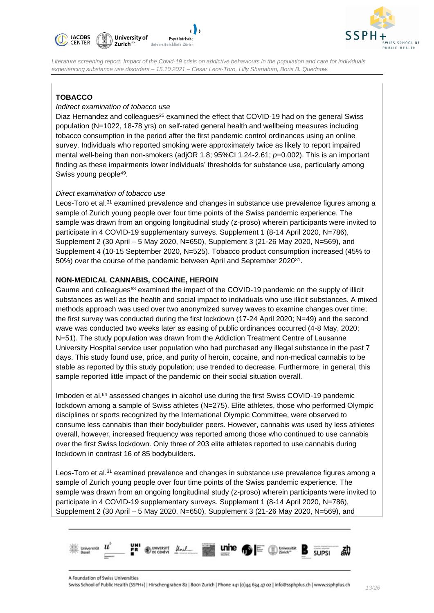



#### **TOBACCO**

#### *Indirect examination of tobacco use*

Diaz Hernandez and colleagues<sup>25</sup> examined the effect that COVID-19 had on the general Swiss population (N=1022, 18-78 yrs) on self-rated general health and wellbeing measures including tobacco consumption in the period after the first pandemic control ordinances using an online survey. Individuals who reported smoking were approximately twice as likely to report impaired mental well-being than non-smokers (adjOR 1.8; 95%CI 1.24-2.61; *p*=0.002). This is an important finding as these impairments lower individuals' thresholds for substance use, particularly among Swiss young people<sup>49</sup>.

#### *Direct examination of tobacco use*

Leos-Toro et al.<sup>31</sup> examined prevalence and changes in substance use prevalence figures among a sample of Zurich young people over four time points of the Swiss pandemic experience. The sample was drawn from an ongoing longitudinal study (z-proso) wherein participants were invited to participate in 4 COVID-19 supplementary surveys. Supplement 1 (8-14 April 2020, N=786), Supplement 2 (30 April – 5 May 2020, N=650), Supplement 3 (21-26 May 2020, N=569), and Supplement 4 (10-15 September 2020, N=525). Tobacco product consumption increased (45% to 50%) over the course of the pandemic between April and September 2020<sup>31</sup>.

#### **NON-MEDICAL CANNABIS, COCAINE, HEROIN**

Gaume and colleagues<sup> $63$ </sup> examined the impact of the COVID-19 pandemic on the supply of illicit substances as well as the health and social impact to individuals who use illicit substances. A mixed methods approach was used over two anonymized survey waves to examine changes over time; the first survey was conducted during the first lockdown (17-24 April 2020; N=49) and the second wave was conducted two weeks later as easing of public ordinances occurred (4-8 May, 2020; N=51). The study population was drawn from the Addiction Treatment Centre of Lausanne University Hospital service user population who had purchased any illegal substance in the past 7 days. This study found use, price, and purity of heroin, cocaine, and non-medical cannabis to be stable as reported by this study population; use trended to decrease. Furthermore, in general, this sample reported little impact of the pandemic on their social situation overall.

Imboden et al.<sup>64</sup> assessed changes in alcohol use during the first Swiss COVID-19 pandemic lockdown among a sample of Swiss athletes (N=275). Elite athletes, those who performed Olympic disciplines or sports recognized by the International Olympic Committee, were observed to consume less cannabis than their bodybuilder peers. However, cannabis was used by less athletes overall, however, increased frequency was reported among those who continued to use cannabis over the first Swiss lockdown. Only three of 203 elite athletes reported to use cannabis during lockdown in contrast 16 of 85 bodybuilders.

Leos-Toro et al.<sup>31</sup> examined prevalence and changes in substance use prevalence figures among a sample of Zurich young people over four time points of the Swiss pandemic experience. The sample was drawn from an ongoing longitudinal study (z-proso) wherein participants were invited to participate in 4 COVID-19 supplementary surveys. Supplement 1 (8-14 April 2020, N=786), Supplement 2 (30 April – 5 May 2020, N=650), Supplement 3 (21-26 May 2020, N=569), and

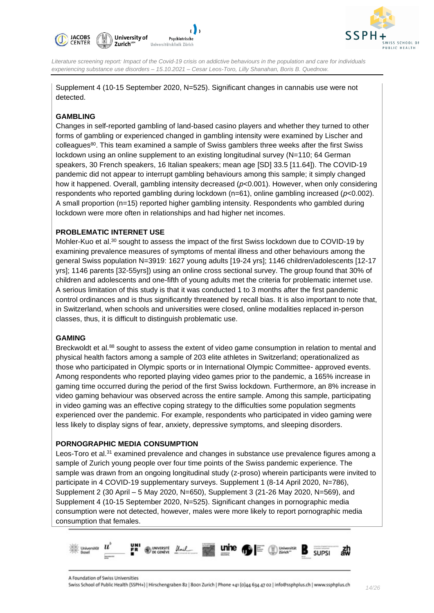



Supplement 4 (10-15 September 2020, N=525). Significant changes in cannabis use were not detected.

#### **GAMBLING**

Changes in self-reported gambling of land-based casino players and whether they turned to other forms of gambling or experienced changed in gambling intensity were examined by Lischer and colleagues<sup>80</sup>. This team examined a sample of Swiss gamblers three weeks after the first Swiss lockdown using an online supplement to an existing longitudinal survey (N=110; 64 German speakers, 30 French speakers, 16 Italian speakers; mean age [SD] 33.5 [11.64]). The COVID-19 pandemic did not appear to interrupt gambling behaviours among this sample; it simply changed how it happened. Overall, gambling intensity decreased (*p<*0.001). However, when only considering respondents who reported gambling during lockdown (n=61), online gambling increased (*p*<0.002). A small proportion (n=15) reported higher gambling intensity. Respondents who gambled during lockdown were more often in relationships and had higher net incomes.

#### **PROBLEMATIC INTERNET USE**

Mohler-Kuo et al.<sup>30</sup> sought to assess the impact of the first Swiss lockdown due to COVID-19 by examining prevalence measures of symptoms of mental illness and other behaviours among the general Swiss population N=3919: 1627 young adults [19-24 yrs]; 1146 children/adolescents [12-17 yrs]; 1146 parents [32-55yrs]) using an online cross sectional survey. The group found that 30% of children and adolescents and one-fifth of young adults met the criteria for problematic internet use. A serious limitation of this study is that it was conducted 1 to 3 months after the first pandemic control ordinances and is thus significantly threatened by recall bias. It is also important to note that, in Switzerland, when schools and universities were closed, online modalities replaced in-person classes, thus, it is difficult to distinguish problematic use.

#### **GAMING**

Breckwoldt et al.<sup>88</sup> sought to assess the extent of video game consumption in relation to mental and physical health factors among a sample of 203 elite athletes in Switzerland; operationalized as those who participated in Olympic sports or in International Olympic Committee- approved events. Among respondents who reported playing video games prior to the pandemic, a 165% increase in gaming time occurred during the period of the first Swiss lockdown. Furthermore, an 8% increase in video gaming behaviour was observed across the entire sample. Among this sample, participating in video gaming was an effective coping strategy to the difficulties some population segments experienced over the pandemic. For example, respondents who participated in video gaming were less likely to display signs of fear, anxiety, depressive symptoms, and sleeping disorders.

#### **PORNOGRAPHIC MEDIA CONSUMPTION**

Leos-Toro et al.<sup>31</sup> examined prevalence and changes in substance use prevalence figures among a sample of Zurich young people over four time points of the Swiss pandemic experience. The sample was drawn from an ongoing longitudinal study (z-proso) wherein participants were invited to participate in 4 COVID-19 supplementary surveys. Supplement 1 (8-14 April 2020, N=786), Supplement 2 (30 April – 5 May 2020, N=650), Supplement 3 (21-26 May 2020, N=569), and Supplement 4 (10-15 September 2020, N=525). Significant changes in pornographic media consumption were not detected, however, males were more likely to report pornographic media consumption that females.

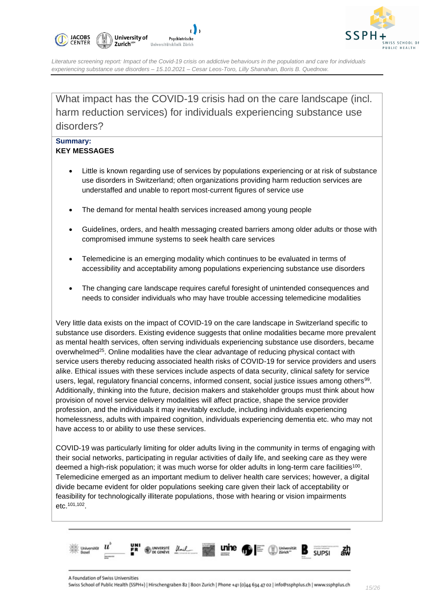



What impact has the COVID-19 crisis had on the care landscape (incl. harm reduction services) for individuals experiencing substance use disorders?

#### **Summary: KEY MESSAGES**

- Little is known regarding use of services by populations experiencing or at risk of substance use disorders in Switzerland; often organizations providing harm reduction services are understaffed and unable to report most-current figures of service use
- The demand for mental health services increased among young people
- Guidelines, orders, and health messaging created barriers among older adults or those with compromised immune systems to seek health care services
- Telemedicine is an emerging modality which continues to be evaluated in terms of accessibility and acceptability among populations experiencing substance use disorders
- The changing care landscape requires careful foresight of unintended consequences and needs to consider individuals who may have trouble accessing telemedicine modalities

Very little data exists on the impact of COVID-19 on the care landscape in Switzerland specific to substance use disorders. Existing evidence suggests that online modalities became more prevalent as mental health services, often serving individuals experiencing substance use disorders, became overwhelmed<sup>25</sup>. Online modalities have the clear advantage of reducing physical contact with service users thereby reducing associated health risks of COVID-19 for service providers and users alike. Ethical issues with these services include aspects of data security, clinical safety for service users, legal, regulatory financial concerns, informed consent, social justice issues among others<sup>99</sup>. Additionally, thinking into the future, decision makers and stakeholder groups must think about how provision of novel service delivery modalities will affect practice, shape the service provider profession, and the individuals it may inevitably exclude, including individuals experiencing homelessness, adults with impaired cognition, individuals experiencing dementia etc. who may not have access to or ability to use these services.

COVID-19 was particularly limiting for older adults living in the community in terms of engaging with their social networks, participating in regular activities of daily life, and seeking care as they were deemed a high-risk population; it was much worse for older adults in long-term care facilities<sup>100</sup>. Telemedicine emerged as an important medium to deliver health care services; however, a digital divide became evident for older populations seeking care given their lack of acceptability or feasibility for technologically illiterate populations, those with hearing or vision impairments etc.101,102 .

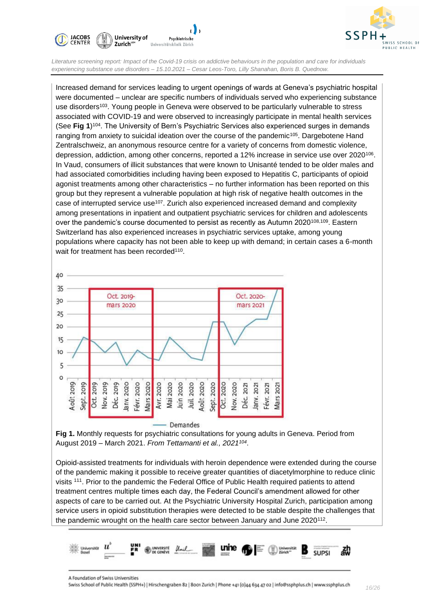



Increased demand for services leading to urgent openings of wards at Geneva's psychiatric hospital were documented – unclear are specific numbers of individuals served who experiencing substance use disorders<sup>103</sup>. Young people in Geneva were observed to be particularly vulnerable to stress associated with COVID-19 and were observed to increasingly participate in mental health services (See **Fig 1**) <sup>104</sup>. The University of Bern's Psychiatric Services also experienced surges in demands ranging from anxiety to suicidal ideation over the course of the pandemic<sup>105</sup>. Dargebotene Hand Zentralschweiz, an anonymous resource centre for a variety of concerns from domestic violence, depression, addiction, among other concerns, reported a 12% increase in service use over 2020<sup>106</sup>. In Vaud, consumers of illicit substances that were known to Unisanté tended to be older males and had associated comorbidities including having been exposed to Hepatitis C, participants of opioid agonist treatments among other characteristics – no further information has been reported on this group but they represent a vulnerable population at high risk of negative health outcomes in the case of interrupted service use<sup>107</sup>. Zurich also experienced increased demand and complexity among presentations in inpatient and outpatient psychiatric services for children and adolescents over the pandemic's course documented to persist as recently as Autumn 2020<sup>108,109</sup>. Eastern Switzerland has also experienced increases in psychiatric services uptake, among young populations where capacity has not been able to keep up with demand; in certain cases a 6-month wait for treatment has been recorded<sup>110</sup>.



**Fig 1.** Monthly requests for psychiatric consultations for young adults in Geneva. Period from August 2019 – March 2021. *From Tettamanti et al., 2021<sup>104</sup>* .

Opioid-assisted treatments for individuals with heroin dependence were extended during the course of the pandemic making it possible to receive greater quantities of diacetylmorphine to reduce clinic visits <sup>111</sup>. Prior to the pandemic the Federal Office of Public Health required patients to attend treatment centres multiple times each day, the Federal Council's amendment allowed for other aspects of care to be carried out. At the Psychiatric University Hospital Zurich, participation among service users in opioid substitution therapies were detected to be stable despite the challenges that the pandemic wrought on the health care sector between January and June 2020 $112$ .

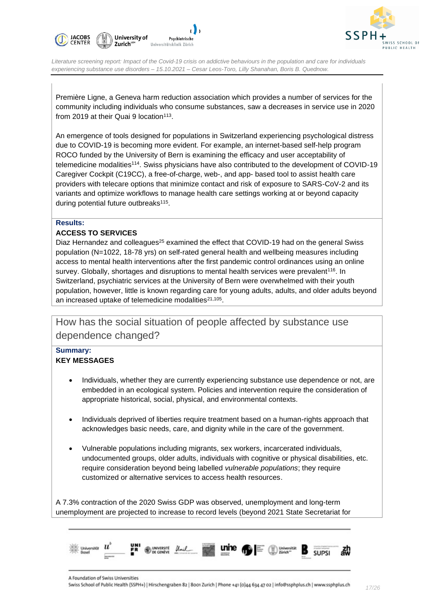



Première Ligne, a Geneva harm reduction association which provides a number of services for the community including individuals who consume substances, saw a decreases in service use in 2020 from 2019 at their Quai 9 location<sup>113</sup>.

An emergence of tools designed for populations in Switzerland experiencing psychological distress due to COVID-19 is becoming more evident. For example, an internet-based self-help program ROCO funded by the University of Bern is examining the efficacy and user acceptability of telemedicine modalities<sup>114</sup>. Swiss physicians have also contributed to the development of COVID-19 Caregiver Cockpit (C19CC), a free-of-charge, web-, and app- based tool to assist health care providers with telecare options that minimize contact and risk of exposure to SARS-CoV-2 and its variants and optimize workflows to manage health care settings working at or beyond capacity during potential future outbreaks<sup>115</sup>.

#### **Results:**

#### **ACCESS TO SERVICES**

Diaz Hernandez and colleagues<sup>25</sup> examined the effect that COVID-19 had on the general Swiss population (N=1022, 18-78 yrs) on self-rated general health and wellbeing measures including access to mental health interventions after the first pandemic control ordinances using an online survey. Globally, shortages and disruptions to mental health services were prevalent<sup>116</sup>. In Switzerland, psychiatric services at the University of Bern were overwhelmed with their youth population, however, little is known regarding care for young adults, adults, and older adults beyond an increased uptake of telemedicine modalities $^{21,105}$ .

How has the social situation of people affected by substance use dependence changed?

#### **Summary: KEY MESSAGES**

- Individuals, whether they are currently experiencing substance use dependence or not, are embedded in an ecological system. Policies and intervention require the consideration of appropriate historical, social, physical, and environmental contexts.
- Individuals deprived of liberties require treatment based on a human-rights approach that acknowledges basic needs, care, and dignity while in the care of the government.
- Vulnerable populations including migrants, sex workers, incarcerated individuals, undocumented groups, older adults, individuals with cognitive or physical disabilities, etc. require consideration beyond being labelled *vulnerable populations*; they require customized or alternative services to access health resources.

A 7.3% contraction of the 2020 Swiss GDP was observed, unemployment and long-term unemployment are projected to increase to record levels (beyond 2021 State Secretariat for

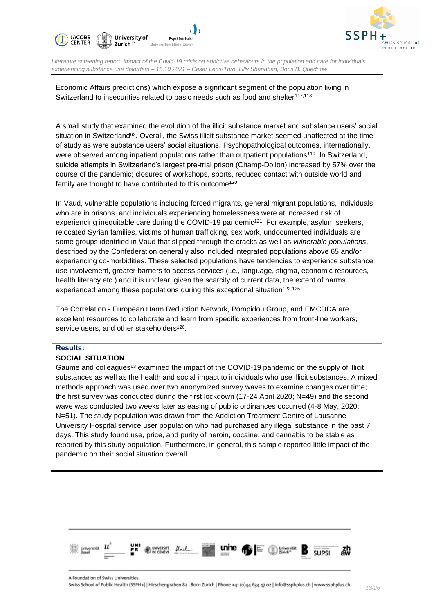



Economic Affairs predictions) which expose a significant segment of the population living in Switzerland to insecurities related to basic needs such as food and shelter<sup>117,118</sup>.

A small study that examined the evolution of the illicit substance market and substance users' social situation in Switzerland<sup>63</sup>. Overall, the Swiss illicit substance market seemed unaffected at the time of study as were substance users' social situations. Psychopathological outcomes, internationally, were observed among inpatient populations rather than outpatient populations<sup>119</sup>. In Switzerland, suicide attempts in Switzerland's largest pre-trial prison (Champ-Dollon) increased by 57% over the course of the pandemic; closures of workshops, sports, reduced contact with outside world and family are thought to have contributed to this outcome<sup>120</sup>.

In Vaud, vulnerable populations including forced migrants, general migrant populations, individuals who are in prisons, and individuals experiencing homelessness were at increased risk of experiencing inequitable care during the COVID-19 pandemic<sup>121</sup>. For example, asylum seekers, relocated Syrian families, victims of human trafficking, sex work, undocumented individuals are some groups identified in Vaud that slipped through the cracks as well as *vulnerable populations*, described by the Confederation generally also included integrated populations above 65 and/or experiencing co-morbidities. These selected populations have tendencies to experience substance use involvement, greater barriers to access services (i.e., language, stigma, economic resources, health literacy etc.) and it is unclear, given the scarcity of current data, the extent of harms experienced among these populations during this exceptional situation $122-125$ .

The Correlation - European Harm Reduction Network, Pompidou Group, and EMCDDA are excellent resources to collaborate and learn from specific experiences from front-line workers, service users, and other stakeholders<sup>126</sup>.

#### **Results:**

#### **SOCIAL SITUATION**

Gaume and colleagues<sup>63</sup> examined the impact of the COVID-19 pandemic on the supply of illicit substances as well as the health and social impact to individuals who use illicit substances. A mixed methods approach was used over two anonymized survey waves to examine changes over time; the first survey was conducted during the first lockdown (17-24 April 2020; N=49) and the second wave was conducted two weeks later as easing of public ordinances occurred (4-8 May, 2020; N=51). The study population was drawn from the Addiction Treatment Centre of Lausanne University Hospital service user population who had purchased any illegal substance in the past 7 days. This study found use, price, and purity of heroin, cocaine, and cannabis to be stable as reported by this study population. Furthermore, in general, this sample reported little impact of the pandemic on their social situation overall.

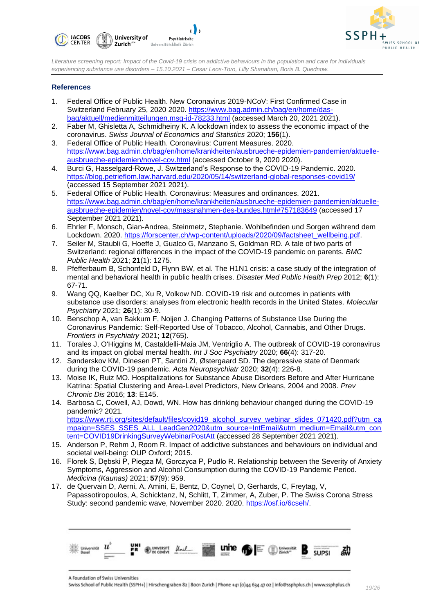



#### **References**

- 1. Federal Office of Public Health. New Coronavirus 2019-NCoV: First Confirmed Case in Switzerland February 25, 2020 2020. [https://www.bag.admin.ch/bag/en/home/das](https://www.bag.admin.ch/bag/en/home/das-bag/aktuell/medienmitteilungen.msg-id-78233.html)[bag/aktuell/medienmitteilungen.msg-id-78233.html](https://www.bag.admin.ch/bag/en/home/das-bag/aktuell/medienmitteilungen.msg-id-78233.html) (accessed March 20, 2021 2021).
- 2. Faber M, Ghisletta A, Schmidheiny K. A lockdown index to assess the economic impact of the coronavirus. *Swiss Journal of Economics and Statistics* 2020; **156**(1).
- 3. Federal Office of Public Health. Coronavirus: Current Measures. 2020. [https://www.bag.admin.ch/bag/en/home/krankheiten/ausbrueche-epidemien-pandemien/aktuelle](https://www.bag.admin.ch/bag/en/home/krankheiten/ausbrueche-epidemien-pandemien/aktuelle-ausbrueche-epidemien/novel-cov.html)[ausbrueche-epidemien/novel-cov.html](https://www.bag.admin.ch/bag/en/home/krankheiten/ausbrueche-epidemien-pandemien/aktuelle-ausbrueche-epidemien/novel-cov.html) (accessed October 9, 2020 2020).
- 4. Burci G, Hasselgard-Rowe, J. Switzerland's Response to the COVID-19 Pandemic. 2020. <https://blog.petrieflom.law.harvard.edu/2020/05/14/switzerland-global-responses-covid19/> (accessed 15 September 2021 2021).
- 5. Federal Office of Public Health. Coronavirus: Measures and ordinances. 2021. [https://www.bag.admin.ch/bag/en/home/krankheiten/ausbrueche-epidemien-pandemien/aktuelle](https://www.bag.admin.ch/bag/en/home/krankheiten/ausbrueche-epidemien-pandemien/aktuelle-ausbrueche-epidemien/novel-cov/massnahmen-des-bundes.html#757183649)[ausbrueche-epidemien/novel-cov/massnahmen-des-bundes.html#757183649](https://www.bag.admin.ch/bag/en/home/krankheiten/ausbrueche-epidemien-pandemien/aktuelle-ausbrueche-epidemien/novel-cov/massnahmen-des-bundes.html#757183649) (accessed 17 September 2021 2021).
- 6. Ehrler F, Monsch, Gian-Andrea, Steinmetz, Stephanie. Wohlbefinden und Sorgen während dem Lockdown. 2020. [https://forscenter.ch/wp-content/uploads/2020/09/factsheet\\_wellbeing.pdf.](https://forscenter.ch/wp-content/uploads/2020/09/factsheet_wellbeing.pdf)
- 7. Seiler M, Staubli G, Hoeffe J, Gualco G, Manzano S, Goldman RD. A tale of two parts of Switzerland: regional differences in the impact of the COVID-19 pandemic on parents. *BMC Public Health* 2021; **21**(1): 1275.
- 8. Pfefferbaum B, Schonfeld D, Flynn BW, et al. The H1N1 crisis: a case study of the integration of mental and behavioral health in public health crises. *Disaster Med Public Health Prep* 2012; **6**(1): 67-71.
- 9. Wang QQ, Kaelber DC, Xu R, Volkow ND. COVID-19 risk and outcomes in patients with substance use disorders: analyses from electronic health records in the United States. *Molecular Psychiatry* 2021; **26**(1): 30-9.
- 10. Benschop A, van Bakkum F, Noijen J. Changing Patterns of Substance Use During the Coronavirus Pandemic: Self-Reported Use of Tobacco, Alcohol, Cannabis, and Other Drugs. *Frontiers in Psychiatry* 2021; **12**(765).
- 11. Torales J, O'Higgins M, Castaldelli-Maia JM, Ventriglio A. The outbreak of COVID-19 coronavirus and its impact on global mental health. *Int J Soc Psychiatry* 2020; **66**(4): 317-20.
- 12. Sønderskov KM, Dinesen PT, Santini ZI, Østergaard SD. The depressive state of Denmark during the COVID-19 pandemic. *Acta Neuropsychiatr* 2020; **32**(4): 226-8.
- 13. Moise IK, Ruiz MO. Hospitalizations for Substance Abuse Disorders Before and After Hurricane Katrina: Spatial Clustering and Area-Level Predictors, New Orleans, 2004 and 2008. *Prev Chronic Dis* 2016; **13**: E145.
- 14. Barbosa C, Cowell, AJ, Dowd, WN. How has drinking behaviour changed during the COVID-19 pandemic? 2021. [https://www.rti.org/sites/default/files/covid19\\_alcohol\\_survey\\_webinar\\_slides\\_071420.pdf?utm\\_ca](https://www.rti.org/sites/default/files/covid19_alcohol_survey_webinar_slides_071420.pdf?utm_campaign=SSES_SSES_ALL_LeadGen2020&utm_source=IntEmail&utm_medium=Email&utm_content=COVID19DrinkingSurveyWebinarPostAtt) [mpaign=SSES\\_SSES\\_ALL\\_LeadGen2020&utm\\_source=IntEmail&utm\\_medium=Email&utm\\_con](https://www.rti.org/sites/default/files/covid19_alcohol_survey_webinar_slides_071420.pdf?utm_campaign=SSES_SSES_ALL_LeadGen2020&utm_source=IntEmail&utm_medium=Email&utm_content=COVID19DrinkingSurveyWebinarPostAtt) [tent=COVID19DrinkingSurveyWebinarPostAtt](https://www.rti.org/sites/default/files/covid19_alcohol_survey_webinar_slides_071420.pdf?utm_campaign=SSES_SSES_ALL_LeadGen2020&utm_source=IntEmail&utm_medium=Email&utm_content=COVID19DrinkingSurveyWebinarPostAtt) (accessed 28 September 2021 2021).
- 15. Anderson P, Rehm J, Room R. Impact of addictive substances and behaviours on individual and societal well-being: OUP Oxford; 2015.
- 16. Florek S, Dębski P, Piegza M, Gorczyca P, Pudlo R. Relationship between the Severity of Anxiety Symptoms, Aggression and Alcohol Consumption during the COVID-19 Pandemic Period. *Medicina (Kaunas)* 2021; **57**(9): 959.
- 17. de Quervain D, Aerni, A, Amini, E, Bentz, D, Coynel, D, Gerhards, C, Freytag, V, Papassotiropoulos, A, Schicktanz, N, Schlitt, T, Zimmer, A, Zuber, P. The Swiss Corona Stress Study: second pandemic wave, November 2020. 2020. [https://osf.io/6cseh/.](https://osf.io/6cseh/)



A Foundation of Swiss Universities

Swiss School of Public Health (SSPH+) | Hirschengraben 82 | 8001 Zurich | Phone +41 (0)44 634 47 02 | info@ssphplus.ch | www.ssphplus.ch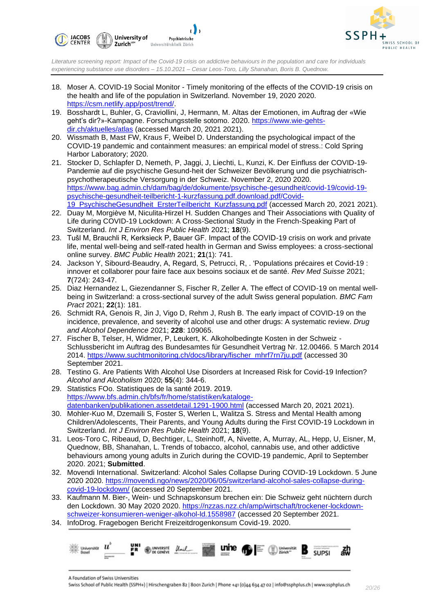



- 18. Moser A. COVID-19 Social Monitor Timely monitoring of the effects of the COVID-19 crisis on the health and life of the population in Switzerland. November 19, 2020 2020. [https://csm.netlify.app/post/trend/.](https://csm.netlify.app/post/trend/)
- 19. Bosshardt L, Buhler, G, Craviollini, J, Hermann, M. Altas der Emotionen, im Auftrag der «Wie geht's dir?»-Kampagne. Forschungsstelle sotomo. 2020. [https://www.wie-gehts](https://www.wie-gehts-dir.ch/aktuelles/atlas)[dir.ch/aktuelles/atlas](https://www.wie-gehts-dir.ch/aktuelles/atlas) (accessed March 20, 2021 2021).
- 20. Wissmath B, Mast FW, Kraus F, Weibel D. Understanding the psychological impact of the COVID-19 pandemic and containment measures: an empirical model of stress.: Cold Spring Harbor Laboratory; 2020.
- 21. Stocker D, Schlapfer D, Nemeth, P, Jaggi, J, Liechti, L, Kunzi, K. Der Einfluss der COVID-19- Pandemie auf die psychische Gesund-heit der Schweizer Bevölkerung und die psychiatrischpsychotherapeutische Versorgung in der Schweiz. November 2, 2020 2020. [https://www.bag.admin.ch/dam/bag/de/dokumente/psychische-gesundheit/covid-19/covid-19](https://www.bag.admin.ch/dam/bag/de/dokumente/psychische-gesundheit/covid-19/covid-19-psychische-gesundheit-teilbericht-1-kurzfassung.pdf.download.pdf/Covid-19_PsychischeGesundheit_ErsterTeilbericht_Kurzfassung.pdf) [psychische-gesundheit-teilbericht-1-kurzfassung.pdf.download.pdf/Covid-](https://www.bag.admin.ch/dam/bag/de/dokumente/psychische-gesundheit/covid-19/covid-19-psychische-gesundheit-teilbericht-1-kurzfassung.pdf.download.pdf/Covid-19_PsychischeGesundheit_ErsterTeilbericht_Kurzfassung.pdf)19 PsychischeGesundheit ErsterTeilbericht Kurzfassung.pdf (accessed March 20, 2021 2021).
- 22. Duay M, Morgiève M, Niculita-Hirzel H. Sudden Changes and Their Associations with Quality of Life during COVID-19 Lockdown: A Cross-Sectional Study in the French-Speaking Part of Switzerland. *Int J Environ Res Public Health* 2021; **18**(9).
- 23. Tušl M, Brauchli R, Kerksieck P, Bauer GF. Impact of the COVID-19 crisis on work and private life, mental well-being and self-rated health in German and Swiss employees: a cross-sectional online survey. *BMC Public Health* 2021; **21**(1): 741.
- 24. Jackson Y, Sibourd-Beaudry, A, Regard, S, Petrucci, R, . 'Populations précaires et Covid-19 : innover et collaborer pour faire face aux besoins sociaux et de santé. *Rev Med Suisse* 2021; **7**(724): 243-47.
- 25. Diaz Hernandez L, Giezendanner S, Fischer R, Zeller A. The effect of COVID-19 on mental wellbeing in Switzerland: a cross-sectional survey of the adult Swiss general population. *BMC Fam Pract* 2021; **22**(1): 181.
- 26. Schmidt RA, Genois R, Jin J, Vigo D, Rehm J, Rush B. The early impact of COVID-19 on the incidence, prevalence, and severity of alcohol use and other drugs: A systematic review. *Drug and Alcohol Dependence* 2021; **228**: 109065.
- 27. Fischer B, Telser, H, Widmer, P, Leukert, K. Alkoholbedingte Kosten in der Schweiz Schlussbericht im Auftrag des Bundesamtes für Gesundheit Vertrag Nr. 12.00466. 5 March 2014 2014. [https://www.suchtmonitoring.ch/docs/library/fischer\\_mhrf7rn7ju.pdf](https://www.suchtmonitoring.ch/docs/library/fischer_mhrf7rn7ju.pdf) (accessed 30 September 2021.
- 28. Testino G. Are Patients With Alcohol Use Disorders at Increased Risk for Covid-19 Infection? *Alcohol and Alcoholism* 2020; **55**(4): 344-6.
- 29. Statistics FOo. Statistiques de la santé 2019. 2019. [https://www.bfs.admin.ch/bfs/fr/home/statistiken/kataloge](https://www.bfs.admin.ch/bfs/fr/home/statistiken/kataloge-datenbanken/publikationen.assetdetail.1291-1900.html)[datenbanken/publikationen.assetdetail.1291-1900.html](https://www.bfs.admin.ch/bfs/fr/home/statistiken/kataloge-datenbanken/publikationen.assetdetail.1291-1900.html) (accessed March 20, 2021 2021).
- 30. Mohler-Kuo M, Dzemaili S, Foster S, Werlen L, Walitza S. Stress and Mental Health among Children/Adolescents, Their Parents, and Young Adults during the First COVID-19 Lockdown in Switzerland. *Int J Environ Res Public Health* 2021; **18**(9).
- 31. Leos-Toro C, Ribeaud, D, Bechtiger, L, Steinhoff, A, Nivette, A, Murray, AL, Hepp, U, Eisner, M, Quednow, BB, Shanahan, L. Trends of tobacco, alcohol, cannabis use, and other addictive behaviours among young adults in Zurich during the COVID-19 pandemic, April to September 2020. 2021; **Submitted**.
- 32. Movendi International. Switzerland: Alcohol Sales Collapse During COVID-19 Lockdown. 5 June 2020 2020. [https://movendi.ngo/news/2020/06/05/switzerland-alcohol-sales-collapse-during](https://movendi.ngo/news/2020/06/05/switzerland-alcohol-sales-collapse-during-covid-19-lockdown/)[covid-19-lockdown/](https://movendi.ngo/news/2020/06/05/switzerland-alcohol-sales-collapse-during-covid-19-lockdown/) (accessed 20 September 2021.
- 33. Kaufmann M. Bier-, Wein- und Schnapskonsum brechen ein: Die Schweiz geht nüchtern durch den Lockdown. 30 May 2020 2020. [https://nzzas.nzz.ch/amp/wirtschaft/trockener-lockdown](https://nzzas.nzz.ch/amp/wirtschaft/trockener-lockdown-schweizer-konsumieren-weniger-alkohol-ld.1558987)[schweizer-konsumieren-weniger-alkohol-ld.1558987](https://nzzas.nzz.ch/amp/wirtschaft/trockener-lockdown-schweizer-konsumieren-weniger-alkohol-ld.1558987) (accessed 20 September 2021.
- 34. InfoDrog. Fragebogen Bericht Freizeitdrogenkonsum Covid-19. 2020.

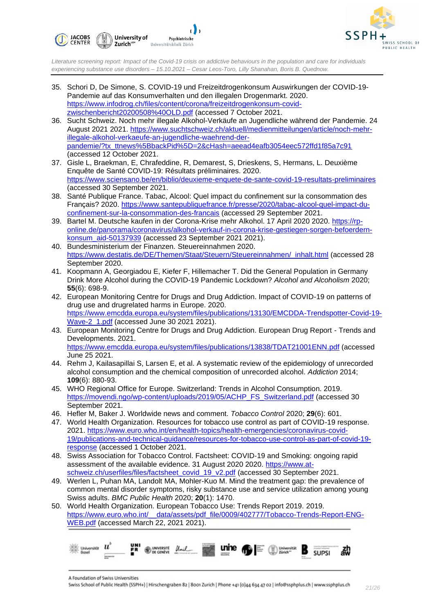



- 35. Schori D, De Simone, S. COVID-19 und Freizeitdrogenkonsum Auswirkungen der COVID-19- Pandemie auf das Konsumverhalten und den illegalen Drogenmarkt. 2020. [https://www.infodrog.ch/files/content/corona/freizeitdrogenkonsum-covid](https://www.infodrog.ch/files/content/corona/freizeitdrogenkonsum-covid-zwischenbericht20200508%40OLD.pdf)[zwischenbericht20200508%40OLD.pdf](https://www.infodrog.ch/files/content/corona/freizeitdrogenkonsum-covid-zwischenbericht20200508%40OLD.pdf) (accessed 7 October 2021.
- 36. Sucht Schweiz. Noch mehr illegale Alkohol-Verkäufe an Jugendliche während der Pandemie. 24 August 2021 2021. [https://www.suchtschweiz.ch/aktuell/medienmitteilungen/article/noch-mehr](https://www.suchtschweiz.ch/aktuell/medienmitteilungen/article/noch-mehr-illegale-alkohol-verkaeufe-an-jugendliche-waehrend-der-pandemie/?tx_ttnews%5BbackPid%5D=2&cHash=aeead4eafb3054eec572ffd1f85a7c91)[illegale-alkohol-verkaeufe-an-jugendliche-waehrend-der](https://www.suchtschweiz.ch/aktuell/medienmitteilungen/article/noch-mehr-illegale-alkohol-verkaeufe-an-jugendliche-waehrend-der-pandemie/?tx_ttnews%5BbackPid%5D=2&cHash=aeead4eafb3054eec572ffd1f85a7c91)[pandemie/?tx\\_ttnews%5BbackPid%5D=2&cHash=aeead4eafb3054eec572ffd1f85a7c91](https://www.suchtschweiz.ch/aktuell/medienmitteilungen/article/noch-mehr-illegale-alkohol-verkaeufe-an-jugendliche-waehrend-der-pandemie/?tx_ttnews%5BbackPid%5D=2&cHash=aeead4eafb3054eec572ffd1f85a7c91) (accessed 12 October 2021.
- 37. Gisle L, Braekman, E, Chrafeddine, R, Demarest, S, Drieskens, S, Hermans, L. Deuxième Enquête de Santé COVID-19: Résultats préliminaires. 2020. <https://www.sciensano.be/en/biblio/deuxieme-enquete-de-sante-covid-19-resultats-preliminaires> (accessed 30 September 2021.
- 38. Santé Publique France. Tabac, Alcool: Quel impact du confinement sur la consommation des Français? 2020. [https://www.santepubliquefrance.fr/presse/2020/tabac-alcool-quel-impact-du](https://www.santepubliquefrance.fr/presse/2020/tabac-alcool-quel-impact-du-confinement-sur-la-consommation-des-francais)[confinement-sur-la-consommation-des-francais](https://www.santepubliquefrance.fr/presse/2020/tabac-alcool-quel-impact-du-confinement-sur-la-consommation-des-francais) (accessed 29 September 2021.
- 39. Bartel M. Deutsche kaufen in der Corona-Krise mehr Alkohol. 17 April 2020 2020. [https://rp](https://rp-online.de/panorama/coronavirus/alkohol-verkauf-in-corona-krise-gestiegen-sorgen-befoerdern-konsum_aid-50137939)[online.de/panorama/coronavirus/alkohol-verkauf-in-corona-krise-gestiegen-sorgen-befoerdern](https://rp-online.de/panorama/coronavirus/alkohol-verkauf-in-corona-krise-gestiegen-sorgen-befoerdern-konsum_aid-50137939)[konsum\\_aid-50137939](https://rp-online.de/panorama/coronavirus/alkohol-verkauf-in-corona-krise-gestiegen-sorgen-befoerdern-konsum_aid-50137939) (accessed 23 September 2021 2021).
- 40. Bundesministerium der Finanzen. Steuereinnahmen 2020. [https://www.destatis.de/DE/Themen/Staat/Steuern/Steuereinnahmen/\\_inhalt.html](https://www.destatis.de/DE/Themen/Staat/Steuern/Steuereinnahmen/_inhalt.html) (accessed 28 September 2020.
- 41. Koopmann A, Georgiadou E, Kiefer F, Hillemacher T. Did the General Population in Germany Drink More Alcohol during the COVID-19 Pandemic Lockdown? *Alcohol and Alcoholism* 2020; **55**(6): 698-9.
- 42. European Monitoring Centre for Drugs and Drug Addiction. Impact of COVID-19 on patterns of drug use and drugrelated harms in Europe. 2020. [https://www.emcdda.europa.eu/system/files/publications/13130/EMCDDA-Trendspotter-Covid-19-](https://www.emcdda.europa.eu/system/files/publications/13130/EMCDDA-Trendspotter-Covid-19-Wave-2_1.pdf) [Wave-2\\_1.pdf](https://www.emcdda.europa.eu/system/files/publications/13130/EMCDDA-Trendspotter-Covid-19-Wave-2_1.pdf) (accessed June 30 2021 2021).
- 43. European Monitoring Centre for Drugs and Drug Addiction. European Drug Report Trends and Developments. 2021. <https://www.emcdda.europa.eu/system/files/publications/13838/TDAT21001ENN.pdf> (accessed June 25 2021.
- 44. Rehm J, Kailasapillai S, Larsen E, et al. A systematic review of the epidemiology of unrecorded alcohol consumption and the chemical composition of unrecorded alcohol. *Addiction* 2014; **109**(6): 880-93.
- 45. WHO Regional Office for Europe. Switzerland: Trends in Alcohol Consumption. 2019. [https://movendi.ngo/wp-content/uploads/2019/05/ACHP\\_FS\\_Switzerland.pdf](https://movendi.ngo/wp-content/uploads/2019/05/ACHP_FS_Switzerland.pdf) (accessed 30 September 2021.
- 46. Hefler M, Baker J. Worldwide news and comment. *Tobacco Control* 2020; **29**(6): 601.
- 47. World Health Organization. Resources for tobacco use control as part of COVID-19 response. 2021. [https://www.euro.who.int/en/health-topics/health-emergencies/coronavirus-covid-](https://www.euro.who.int/en/health-topics/health-emergencies/coronavirus-covid-19/publications-and-technical-guidance/resources-for-tobacco-use-control-as-part-of-covid-19-response)[19/publications-and-technical-guidance/resources-for-tobacco-use-control-as-part-of-covid-19](https://www.euro.who.int/en/health-topics/health-emergencies/coronavirus-covid-19/publications-and-technical-guidance/resources-for-tobacco-use-control-as-part-of-covid-19-response) [response](https://www.euro.who.int/en/health-topics/health-emergencies/coronavirus-covid-19/publications-and-technical-guidance/resources-for-tobacco-use-control-as-part-of-covid-19-response) (accessed 1 October 2021.
- 48. Swiss Association for Tobacco Control. Factsheet: COVID‐19 and Smoking: ongoing rapid assessment of the available evidence. 31 August 2020 2020. [https://www.at](https://www.at-schweiz.ch/userfiles/files/factsheet_covid_19_v2.pdf)[schweiz.ch/userfiles/files/factsheet\\_covid\\_19\\_v2.pdf](https://www.at-schweiz.ch/userfiles/files/factsheet_covid_19_v2.pdf) (accessed 30 September 2021.
- 49. Werlen L, Puhan MA, Landolt MA, Mohler-Kuo M. Mind the treatment gap: the prevalence of common mental disorder symptoms, risky substance use and service utilization among young Swiss adults. *BMC Public Health* 2020; **20**(1): 1470.
- 50. World Health Organization. European Tobacco Use: Trends Report 2019. 2019. https://www.euro.who.int/ data/assets/pdf file/0009/402777/Tobacco-Trends-Report-ENG-[WEB.pdf](https://www.euro.who.int/__data/assets/pdf_file/0009/402777/Tobacco-Trends-Report-ENG-WEB.pdf) (accessed March 22, 2021 2021).

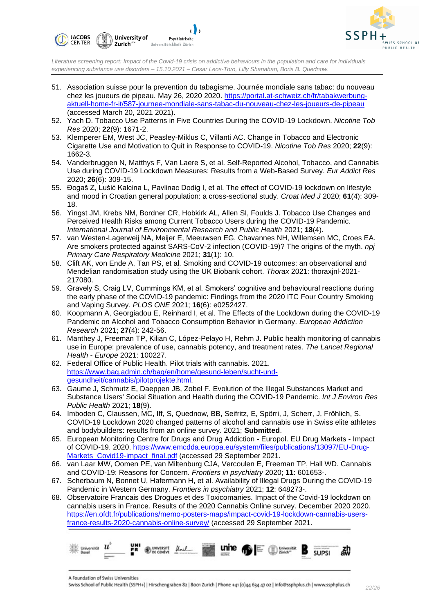



- 51. Association suisse pour la prevention du tabagisme. Journée mondiale sans tabac: du nouveau chez les joueurs de pipeau. May 26, 2020 2020. [https://portal.at-schweiz.ch/fr/tabakwerbung](https://portal.at-schweiz.ch/fr/tabakwerbung-aktuell-home-fr-it/587-journee-mondiale-sans-tabac-du-nouveau-chez-les-joueurs-de-pipeau)[aktuell-home-fr-it/587-journee-mondiale-sans-tabac-du-nouveau-chez-les-joueurs-de-pipeau](https://portal.at-schweiz.ch/fr/tabakwerbung-aktuell-home-fr-it/587-journee-mondiale-sans-tabac-du-nouveau-chez-les-joueurs-de-pipeau) (accessed March 20, 2021 2021).
- 52. Yach D. Tobacco Use Patterns in Five Countries During the COVID-19 Lockdown. *Nicotine Tob Res* 2020; **22**(9): 1671-2.
- 53. Klemperer EM, West JC, Peasley-Miklus C, Villanti AC. Change in Tobacco and Electronic Cigarette Use and Motivation to Quit in Response to COVID-19. *Nicotine Tob Res* 2020; **22**(9): 1662-3.
- 54. Vanderbruggen N, Matthys F, Van Laere S, et al. Self-Reported Alcohol, Tobacco, and Cannabis Use during COVID-19 Lockdown Measures: Results from a Web-Based Survey. *Eur Addict Res* 2020; **26**(6): 309-15.
- 55. Đogaš Z, Lušić Kalcina L, Pavlinac Dodig I, et al. The effect of COVID-19 lockdown on lifestyle and mood in Croatian general population: a cross-sectional study. *Croat Med J* 2020; **61**(4): 309- 18.
- 56. Yingst JM, Krebs NM, Bordner CR, Hobkirk AL, Allen SI, Foulds J. Tobacco Use Changes and Perceived Health Risks among Current Tobacco Users during the COVID-19 Pandemic. *International Journal of Environmental Research and Public Health* 2021; **18**(4).
- 57. van Westen-Lagerweij NA, Meijer E, Meeuwsen EG, Chavannes NH, Willemsen MC, Croes EA. Are smokers protected against SARS-CoV-2 infection (COVID-19)? The origins of the myth. *npj Primary Care Respiratory Medicine* 2021; **31**(1): 10.
- 58. Clift AK, von Ende A, Tan PS, et al. Smoking and COVID-19 outcomes: an observational and Mendelian randomisation study using the UK Biobank cohort. *Thorax* 2021: thoraxjnl-2021- 217080.
- 59. Gravely S, Craig LV, Cummings KM, et al. Smokers' cognitive and behavioural reactions during the early phase of the COVID-19 pandemic: Findings from the 2020 ITC Four Country Smoking and Vaping Survey. *PLOS ONE* 2021; **16**(6): e0252427.
- 60. Koopmann A, Georgiadou E, Reinhard I, et al. The Effects of the Lockdown during the COVID-19 Pandemic on Alcohol and Tobacco Consumption Behavior in Germany. *European Addiction Research* 2021; **27**(4): 242-56.
- 61. Manthey J, Freeman TP, Kilian C, López-Pelayo H, Rehm J. Public health monitoring of cannabis use in Europe: prevalence of use, cannabis potency, and treatment rates. *The Lancet Regional Health - Europe* 2021: 100227.
- 62. Federal Office of Public Health. Pilot trials with cannabis. 2021. [https://www.bag.admin.ch/bag/en/home/gesund-leben/sucht-und](https://www.bag.admin.ch/bag/en/home/gesund-leben/sucht-und-gesundheit/cannabis/pilotprojekte.html)[gesundheit/cannabis/pilotprojekte.html.](https://www.bag.admin.ch/bag/en/home/gesund-leben/sucht-und-gesundheit/cannabis/pilotprojekte.html)
- 63. Gaume J, Schmutz E, Daeppen JB, Zobel F. Evolution of the Illegal Substances Market and Substance Users' Social Situation and Health during the COVID-19 Pandemic. *Int J Environ Res Public Health* 2021; **18**(9).
- 64. Imboden C, Claussen, MC, Iff, S, Quednow, BB, Seifritz, E, Spörri, J, Scherr, J, Fröhlich, S. COVID-19 Lockdown 2020 changed patterns of alcohol and cannabis use in Swiss elite athletes and bodybuilders: results from an online survey. 2021; **Submitted**.
- 65. European Monitoring Centre for Drugs and Drug Addiction Europol. EU Drug Markets Impact of COVID-19. 2020. [https://www.emcdda.europa.eu/system/files/publications/13097/EU-Drug-](https://www.emcdda.europa.eu/system/files/publications/13097/EU-Drug-Markets_Covid19-impact_final.pdf)Markets Covid19-impact\_final.pdf (accessed 29 September 2021.
- 66. van Laar MW, Oomen PE, van Miltenburg CJA, Vercoulen E, Freeman TP, Hall WD. Cannabis and COVID-19: Reasons for Concern. *Frontiers in psychiatry* 2020; **11**: 601653-.
- 67. Scherbaum N, Bonnet U, Hafermann H, et al. Availability of Illegal Drugs During the COVID-19 Pandemic in Western Germany. *Frontiers in psychiatry* 2021; **12**: 648273-.
- 68. Observatoire Francais des Drogues et des Toxicomanies. Impact of the Covid-19 lockdown on cannabis users in France. Results of the 2020 Cannabis Online survey. December 2020 2020. [https://en.ofdt.fr/publications/memo-posters-maps/impact-covid-19-lockdown-cannabis-users](https://en.ofdt.fr/publications/memo-posters-maps/impact-covid-19-lockdown-cannabis-users-france-results-2020-cannabis-online-survey/)[france-results-2020-cannabis-online-survey/](https://en.ofdt.fr/publications/memo-posters-maps/impact-covid-19-lockdown-cannabis-users-france-results-2020-cannabis-online-survey/) (accessed 29 September 2021.



A Foundation of Swiss Universities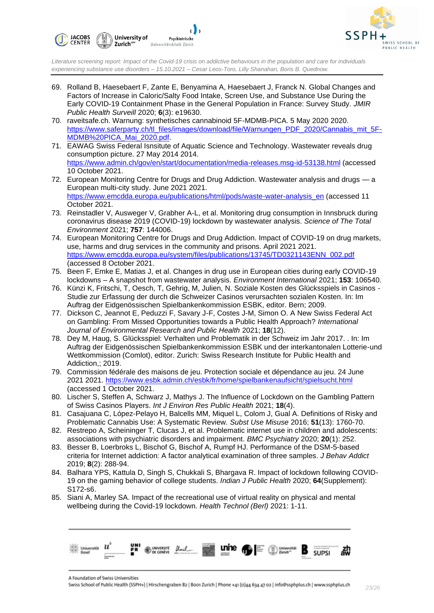



- 69. Rolland B, Haesebaert F, Zante E, Benyamina A, Haesebaert J, Franck N. Global Changes and Factors of Increase in Caloric/Salty Food Intake, Screen Use, and Substance Use During the Early COVID-19 Containment Phase in the General Population in France: Survey Study. *JMIR Public Health Surveill* 2020; **6**(3): e19630.
- 70. raveitsafe.ch. Warnung: synthetisches cannabinoid 5F-MDMB-PICA. 5 May 2020 2020. [https://www.saferparty.ch/tl\\_files/images/download/file/Warnungen\\_PDF\\_2020/Cannabis\\_mit\\_5F-](https://www.saferparty.ch/tl_files/images/download/file/Warnungen_PDF_2020/Cannabis_mit_5F-MDMB%20PICA_Mai_2020.pdf)[MDMB%20PICA\\_Mai\\_2020.pdf.](https://www.saferparty.ch/tl_files/images/download/file/Warnungen_PDF_2020/Cannabis_mit_5F-MDMB%20PICA_Mai_2020.pdf)
- 71. EAWAG Swiss Federal Isnsitute of Aquatic Science and Technology. Wastewater reveals drug consumption picture. 27 May 2014 2014. <https://www.admin.ch/gov/en/start/documentation/media-releases.msg-id-53138.html> (accessed 10 October 2021.
- 72. European Monitoring Centre for Drugs and Drug Addiction. Wastewater analysis and drugs a European multi-city study. June 2021 2021. [https://www.emcdda.europa.eu/publications/html/pods/waste-water-analysis\\_en](https://www.emcdda.europa.eu/publications/html/pods/waste-water-analysis_en) (accessed 11 October 2021.
- 73. Reinstadler V, Ausweger V, Grabher A-L, et al. Monitoring drug consumption in Innsbruck during coronavirus disease 2019 (COVID-19) lockdown by wastewater analysis. *Science of The Total Environment* 2021; **757**: 144006.
- 74. European Monitoring Centre for Drugs and Drug Addiction. Impact of COVID-19 on drug markets, use, harms and drug services in the community and prisons. April 2021 2021. [https://www.emcdda.europa.eu/system/files/publications/13745/TD0321143ENN\\_002.pdf](https://www.emcdda.europa.eu/system/files/publications/13745/TD0321143ENN_002.pdf) (accessed 8 October 2021.
- 75. Been F, Emke E, Matias J, et al. Changes in drug use in European cities during early COVID-19 lockdowns – A snapshot from wastewater analysis. *Environment International* 2021; **153**: 106540.
- 76. Künzi K, Fritschi, T, Oesch, T, Gehrig, M, Julien, N. Soziale Kosten des Glücksspiels in Casinos Studie zur Erfassung der durch die Schweizer Casinos verursachten sozialen Kosten. In: Im Auftrag der Eidgenössischen Spielbankenkommission ESBK, editor. Bern; 2009.
- 77. Dickson C, Jeannot E, Peduzzi F, Savary J-F, Costes J-M, Simon O. A New Swiss Federal Act on Gambling: From Missed Opportunities towards a Public Health Approach? *International Journal of Environmental Research and Public Health* 2021; **18**(12).
- 78. Dey M, Haug, S. Glücksspiel: Verhalten und Problematik in der Schweiz im Jahr 2017. . In: Im Auftrag der Eidgenössischen Spielbankenkommission ESBK und der interkantonalen Lotterie-und Wettkommission (Comlot), editor. Zurich: Swiss Research Institute for Public Health and Addiction,; 2019.
- 79. Commission fédérale des maisons de jeu. Protection sociale et dépendance au jeu. 24 June 2021 2021.<https://www.esbk.admin.ch/esbk/fr/home/spielbankenaufsicht/spielsucht.html> (accessed 1 October 2021.
- 80. Lischer S, Steffen A, Schwarz J, Mathys J. The Influence of Lockdown on the Gambling Pattern of Swiss Casinos Players. *Int J Environ Res Public Health* 2021; **18**(4).
- 81. Casajuana C, López-Pelayo H, Balcells MM, Miquel L, Colom J, Gual A. Definitions of Risky and Problematic Cannabis Use: A Systematic Review. *Subst Use Misuse* 2016; **51**(13): 1760-70.
- 82. Restrepo A, Scheininger T, Clucas J, et al. Problematic internet use in children and adolescents: associations with psychiatric disorders and impairment. *BMC Psychiatry* 2020; **20**(1): 252.
- 83. Besser B, Loerbroks L, Bischof G, Bischof A, Rumpf HJ. Performance of the DSM-5-based criteria for Internet addiction: A factor analytical examination of three samples. *J Behav Addict* 2019; **8**(2): 288-94.
- 84. Balhara YPS, Kattula D, Singh S, Chukkali S, Bhargava R. Impact of lockdown following COVID-19 on the gaming behavior of college students. *Indian J Public Health* 2020; **64**(Supplement): S172-s6.
- 85. Siani A, Marley SA. Impact of the recreational use of virtual reality on physical and mental wellbeing during the Covid-19 lockdown. *Health Technol (Berl)* 2021: 1-11.



A Foundation of Swiss Universities

Swiss School of Public Health (SSPH+) | Hirschengraben 82 | 8001 Zurich | Phone +41 (0)44 634 47 02 | info@ssphplus.ch | www.ssphplus.ch *23/26*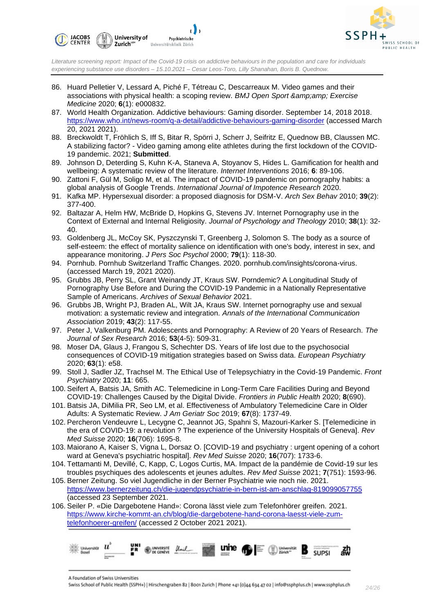



- 86. Huard Pelletier V, Lessard A, Piché F, Tétreau C, Descarreaux M. Video games and their associations with physical health: a scoping review. *BMJ Open Sport & Exercise Medicine* 2020; **6**(1): e000832.
- 87. World Health Organization. Addictive behaviours: Gaming disorder. September 14, 2018 2018. <https://www.who.int/news-room/q-a-detail/addictive-behaviours-gaming-disorder> (accessed March 20, 2021 2021).
- 88. Breckwoldt T, Fröhlich S, Iff S, Bitar R, Spörri J, Scherr J, Seifritz E, Quednow BB, Claussen MC. A stabilizing factor? - Video gaming among elite athletes during the first lockdown of the COVID-19 pandemic. 2021; **Submitted**.
- 89. Johnson D, Deterding S, Kuhn K-A, Staneva A, Stoyanov S, Hides L. Gamification for health and wellbeing: A systematic review of the literature. *Internet Interventions* 2016; **6**: 89-106.
- 90. Zattoni F, Gül M, Soligo M, et al. The impact of COVID-19 pandemic on pornography habits: a global analysis of Google Trends. *International Journal of Impotence Research* 2020.
- 91. Kafka MP. Hypersexual disorder: a proposed diagnosis for DSM-V. *Arch Sex Behav* 2010; **39**(2): 377-400.
- 92. Baltazar A, Helm HW, McBride D, Hopkins G, Stevens JV. Internet Pornography use in the Context of External and Internal Religiosity. *Journal of Psychology and Theology* 2010; **38**(1): 32-  $40<sup>-1</sup>$
- 93. Goldenberg JL, McCoy SK, Pyszczynski T, Greenberg J, Solomon S. The body as a source of self-esteem: the effect of mortality salience on identification with one's body, interest in sex, and appearance monitoring. *J Pers Soc Psychol* 2000; **79**(1): 118-30.
- 94. Pornhub. Pornhub Switzerland Traffic Changes. 2020. pornhub.com/insights/corona-virus. (accessed March 19, 2021 2020).
- 95. Grubbs JB, Perry SL, Grant Weinandy JT, Kraus SW. Porndemic? A Longitudinal Study of Pornography Use Before and During the COVID-19 Pandemic in a Nationally Representative Sample of Americans. *Archives of Sexual Behavior* 2021.
- 96. Grubbs JB, Wright PJ, Braden AL, Wilt JA, Kraus SW. Internet pornography use and sexual motivation: a systematic review and integration. *Annals of the International Communication Association* 2019; **43**(2): 117-55.
- 97. Peter J, Valkenburg PM. Adolescents and Pornography: A Review of 20 Years of Research. *The Journal of Sex Research* 2016; **53**(4-5): 509-31.
- 98. Moser DA, Glaus J, Frangou S, Schechter DS. Years of life lost due to the psychosocial consequences of COVID-19 mitigation strategies based on Swiss data. *European Psychiatry* 2020; **63**(1): e58.
- 99. Stoll J, Sadler JZ, Trachsel M. The Ethical Use of Telepsychiatry in the Covid-19 Pandemic. *Front Psychiatry* 2020; **11**: 665.
- 100. Seifert A, Batsis JA, Smith AC. Telemedicine in Long-Term Care Facilities During and Beyond COVID-19: Challenges Caused by the Digital Divide. *Frontiers in Public Health* 2020; **8**(690).
- 101. Batsis JA, DiMilia PR, Seo LM, et al. Effectiveness of Ambulatory Telemedicine Care in Older Adults: A Systematic Review. *J Am Geriatr Soc* 2019; **67**(8): 1737-49.
- 102. Percheron Vendeuvre L, Lecygne C, Jeannot JG, Spahni S, Mazouri-Karker S. [Telemedicine in the era of COVID-19: a revolution ? The experience of the University Hospitals of Geneva]. *Rev Med Suisse* 2020; **16**(706): 1695-8.
- 103. Maiorano A, Kaiser S, Vigna L, Dorsaz O. [COVID-19 and psychiatry : urgent opening of a cohort ward at Geneva's psychiatric hospital]. *Rev Med Suisse* 2020; **16**(707): 1733-6.
- 104. Tettamanti M, Devillé, C, Kapp, C, Logos Curtis, MA. Impact de la pandémie de Covid-19 sur les troubles psychiques des adolescents et jeunes adultes. *Rev Med Suisse* 2021; **7**(751): 1593-96.
- 105. Berner Zeitung. So viel Jugendliche in der Berner Psychiatrie wie noch nie. 2021. <https://www.bernerzeitung.ch/die-jugendpsychiatrie-in-bern-ist-am-anschlag-819099057755> (accessed 23 September 2021.
- 106. Seiler P. «Die Dargebotene Hand»: Corona lässt viele zum Telefonhörer greifen. 2021. [https://www.kirche-kommt-an.ch/blog/die-dargebotene-hand-corona-laesst-viele-zum](https://www.kirche-kommt-an.ch/blog/die-dargebotene-hand-corona-laesst-viele-zum-telefonhoerer-greifen/)[telefonhoerer-greifen/](https://www.kirche-kommt-an.ch/blog/die-dargebotene-hand-corona-laesst-viele-zum-telefonhoerer-greifen/) (accessed 2 October 2021 2021).



A Foundation of Swiss Universities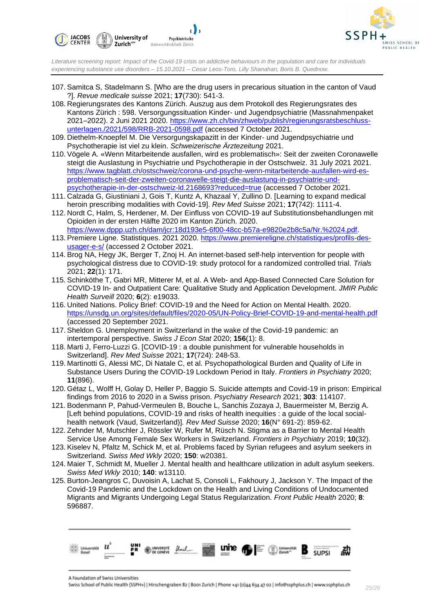



- 107. Samitca S, Stadelmann S. [Who are the drug users in precarious situation in the canton of Vaud ?]. *Revue medicale suisse* 2021; **17**(730): 541-3.
- 108. Regierungsrates des Kantons Zürich. Auszug aus dem Protokoll des Regierungsrates des Kantons Zürich : 598. Versorgungssituation Kinder- und Jugendpsychiatrie (Massnahmenpaket 2021–2022). 2 Juni 2021 2020. [https://www.zh.ch/bin/zhweb/publish/regierungsratsbeschluss](https://www.zh.ch/bin/zhweb/publish/regierungsratsbeschluss-unterlagen./2021/598/RRB-2021-0598.pdf)[unterlagen./2021/598/RRB-2021-0598.pdf](https://www.zh.ch/bin/zhweb/publish/regierungsratsbeschluss-unterlagen./2021/598/RRB-2021-0598.pdf) (accessed 7 October 2021.
- 109. Diethelm-Knoepfel M. Die Versorgungskapazitt in der Kinder- und Jugendpsychiatrie und Psychotherapie ist viel zu klein. *Schweizerische Ärztezeitung* 2021.
- 110. Vögele A. «Wenn Mitarbeitende ausfallen, wird es problematisch»: Seit der zweiten Coronawelle steigt die Auslastung in Psychiatrie und Psychotherapie in der Ostschweiz. 31 July 2021 2021. [https://www.tagblatt.ch/ostschweiz/corona-und-psyche-wenn-mitarbeitende-ausfallen-wird-es](https://www.tagblatt.ch/ostschweiz/corona-und-psyche-wenn-mitarbeitende-ausfallen-wird-es-problematisch-seit-der-zweiten-coronawelle-steigt-die-auslastung-in-psychiatrie-und-psychotherapie-in-der-ostschweiz-ld.2168693?reduced=true)[problematisch-seit-der-zweiten-coronawelle-steigt-die-auslastung-in-psychiatrie-und](https://www.tagblatt.ch/ostschweiz/corona-und-psyche-wenn-mitarbeitende-ausfallen-wird-es-problematisch-seit-der-zweiten-coronawelle-steigt-die-auslastung-in-psychiatrie-und-psychotherapie-in-der-ostschweiz-ld.2168693?reduced=true)[psychotherapie-in-der-ostschweiz-ld.2168693?reduced=true](https://www.tagblatt.ch/ostschweiz/corona-und-psyche-wenn-mitarbeitende-ausfallen-wird-es-problematisch-seit-der-zweiten-coronawelle-steigt-die-auslastung-in-psychiatrie-und-psychotherapie-in-der-ostschweiz-ld.2168693?reduced=true) (accessed 7 October 2021.
- 111. Calzada G, Giustiniani J, Gois T, Kuntz A, Khazaal Y, Zullino D. [Learning to expand medical heroin prescribing modalities with Covid-19]. *Rev Med Suisse* 2021; **17**(742): 1111-4.
- 112. Nordt C, Halm, S, Herdener, M. Der Einfluss von COVID-19 auf Substitutionsbehandlungen mit Opioiden in der ersten Hälfte 2020 im Kanton Zürich. 2020. [https://www.dppp.uzh.ch/dam/jcr:18d193e5-6f00-48cc-b57a-e9820e2b8c5a/Nr.%2024.pdf.](https://www.dppp.uzh.ch/dam/jcr:18d193e5-6f00-48cc-b57a-e9820e2b8c5a/Nr.%2024.pdf)
- 113. Premiere Ligne. Statistiques. 2021 2020. [https://www.premiereligne.ch/statistiques/profils-des](https://www.premiereligne.ch/statistiques/profils-des-usager-e-s/)[usager-e-s/](https://www.premiereligne.ch/statistiques/profils-des-usager-e-s/) (accessed 2 October 2021.
- 114. Brog NA, Hegy JK, Berger T, Znoj H. An internet-based self-help intervention for people with psychological distress due to COVID-19: study protocol for a randomized controlled trial. *Trials* 2021; **22**(1): 171.
- 115. Schinköthe T, Gabri MR, Mitterer M, et al. A Web- and App-Based Connected Care Solution for COVID-19 In- and Outpatient Care: Qualitative Study and Application Development. *JMIR Public Health Surveill* 2020; **6**(2): e19033.
- 116. United Nations. Policy Brief: COVID-19 and the Need for Action on Mental Health. 2020. <https://unsdg.un.org/sites/default/files/2020-05/UN-Policy-Brief-COVID-19-and-mental-health.pdf> (accessed 20 September 2021.
- 117. Sheldon G. Unemployment in Switzerland in the wake of the Covid-19 pandemic: an intertemporal perspective. *Swiss J Econ Stat* 2020; **156**(1): 8.
- 118. Marti J, Ferro-Luzzi G. [COVID-19 : a double punishment for vulnerable households in Switzerland]. *Rev Med Suisse* 2021; **17**(724): 248-53.
- 119. Martinotti G, Alessi MC, Di Natale C, et al. Psychopathological Burden and Quality of Life in Substance Users During the COVID-19 Lockdown Period in Italy. *Frontiers in Psychiatry* 2020; **11**(896).
- 120. Gétaz L, Wolff H, Golay D, Heller P, Baggio S. Suicide attempts and Covid-19 in prison: Empirical findings from 2016 to 2020 in a Swiss prison. *Psychiatry Research* 2021; **303**: 114107.
- 121. Bodenmann P, Pahud-Vermeulen B, Bouche L, Sanchis Zozaya J, Bauermeister M, Berzig A. [Left behind populations, COVID-19 and risks of health inequities : a guide of the local socialhealth network (Vaud, Switzerland)]. *Rev Med Suisse* 2020; **16**(N° 691-2): 859-62.
- 122. Zehnder M, Mutschler J, Rössler W, Rufer M, Rüsch N. Stigma as a Barrier to Mental Health Service Use Among Female Sex Workers in Switzerland. *Frontiers in Psychiatry* 2019; **10**(32).
- 123. Kiselev N, Pfaltz M, Schick M, et al. Problems faced by Syrian refugees and asylum seekers in Switzerland. *Swiss Med Wkly* 2020; **150**: w20381.
- 124. Maier T, Schmidt M, Mueller J. Mental health and healthcare utilization in adult asylum seekers. *Swiss Med Wkly* 2010; **140**: w13110.
- 125. Burton-Jeangros C, Duvoisin A, Lachat S, Consoli L, Fakhoury J, Jackson Y. The Impact of the Covid-19 Pandemic and the Lockdown on the Health and Living Conditions of Undocumented Migrants and Migrants Undergoing Legal Status Regularization. *Front Public Health* 2020; **8**: 596887.



A Foundation of Swiss Universities

Swiss School of Public Health (SSPH+) | Hirschengraben 82 | 8001 Zurich | Phone +41 (0)44 634 47 02 | info@ssphplus.ch | www.ssphplus.ch